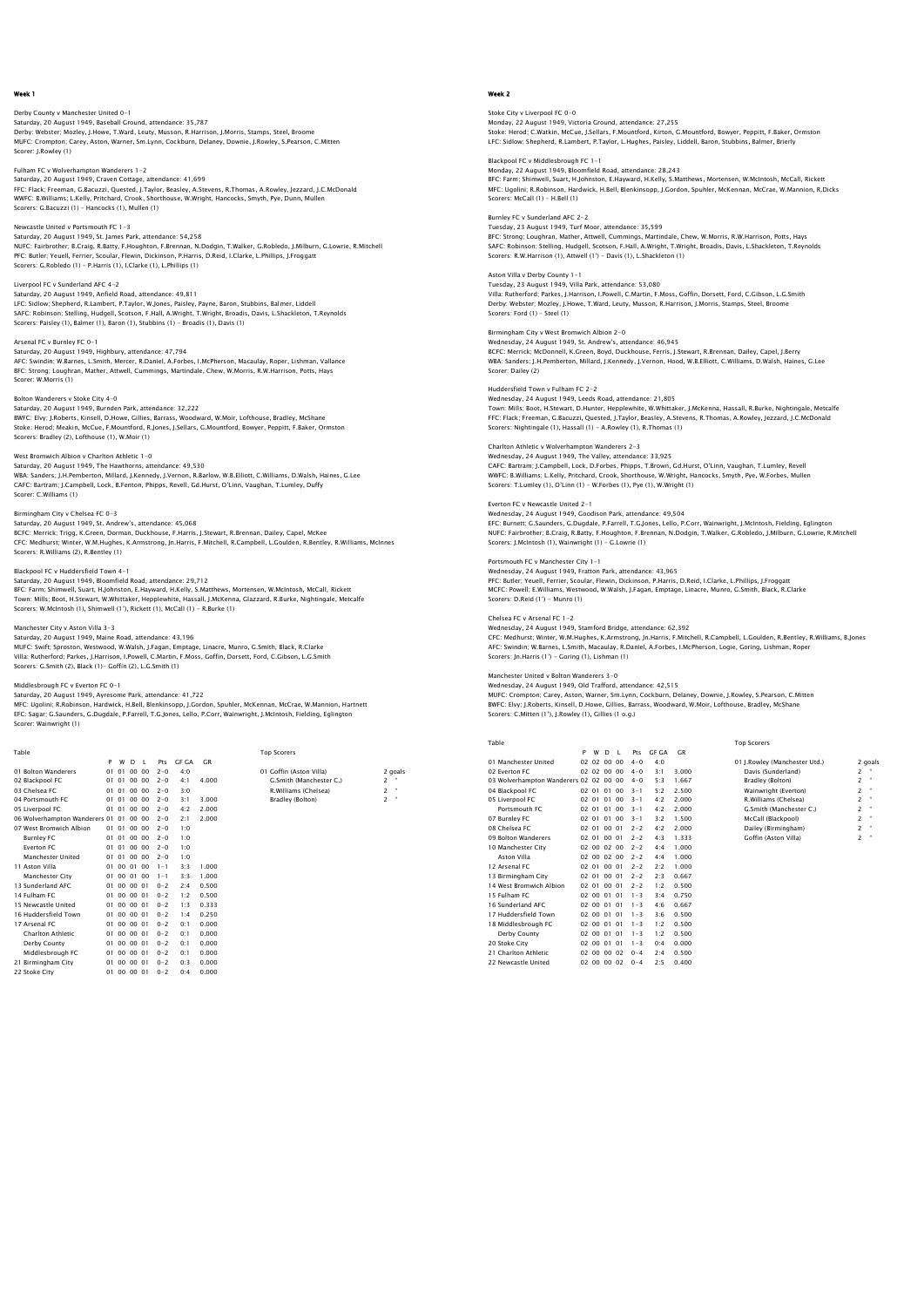## Derby County v Manchester United 0-1 Saturday, 20 August 1949, Baseball Ground, attendance: 35,787 Derby: Webster; Mozley, J.Howe, T.Ward, Leuty, Musson, R.Harrison, J.Morris, Stamps, Steel, Broome MUFC: Crompton; Carey, Aston, Warner, Sm.Lynn, Cockburn, Delaney, Downie, J.Rowley, S.Pearson, C.Mitten Scorer: J.Rowley (1)

Fulham FC v Wolverhampton Wanderers 1-2 Saturday, 20 August 1949, Craven Cottage, attendance: 41,699 FFC: Flack; Freeman, G.Bacuzzi, Quested, J.Taylor, Beasley, A.Stevens, R.Thomas, A.Rowley, Jezzard, J.C.McDonald WWFC: B.Williams; L.Kelly, Pritchard, Crook, Shorthouse, W.Wright, Hancocks, Smyth, Pye, Dunn, Mulle Scorers: G.Bacuzzi (1) – Hancocks (1), Mullen (1)

# Newcastle United v Portsmouth FC 1-3

Saturday, 20 August 1949, St. James Park, attendance: 54,258<br>NUFC: Fairbrother; B.Craig, R.Batty, F.Houghton, F.Brennan, N.Dodgin, T.Walker, G.Robledo, J.Milburn, G.Lowrie, R.Mitchell<br>PFC: Butler, Yeuell, Ferrier, Scoular,

Liverpool FC v Sunderland AFC 4-2 Saturday, 20 August 1949, Anfield Road, attendance: 49,811 LFC: Sidlow; Shepherd, R.Lambert, P.Taylor, W.Jones, Paisley, Payne, Baron, Stubbins, Balmer, Liddell<br>SAFC: Robinson; Stelling, Hudgell, Scotson, F.Hall, A.Wright, T.Wright, Broadis, Davis, L.Shackleton, T.Reynolds<br>Scorers

Arsenal FC v Burnley FC 0-1 Saturday, 20 August 1949, Highbury, attendance: 47,794<br>AFC: Swindin; W.Barnes, L.Smith, Mercer, R.Daniel, A.Forbes, I.McPherson, Macaulay, Roper, Lishman, Vallance<br>BFC: Strong: Loughran, Mather, Attwell, Cummings, Martinda Scorer: W.Morris (1)

#### Bolton Wanderers v Stoke City 4-0

Saturday, 20 August 1949, Burnden Park, attendance: 32,222<br>BWFC: Elvy: J.Roberts, Kinsell, D.Howe, Gillies, Barrass, Woodward, W.Moir, Lofthouse, Bradley, McShane<br>Stoke: Herod: Meakin, McCue, F.Mountford, R.Jones, J.Sellar Scorers: Bradley (2), Lofthouse (1), W.Moir (1)

West Bromwich Albion v Charlton Athletic 1–0<br>Saturday, 20 August 1949, The Hawthorns, attendance: 49,530<br>WBA: Sanders; J.H.Pemberton, Millard, J.Kennedy, J.Vernon, R.Barlow, W.B.Elliott, C.Williams, D.Walsh, Haines, G.Lee<br> Scorer: C.Williams (1)

Birmingham City v Chelsea FC 0-3

Saturday, 20 August 1949, St. Andrew's, attendance: 45,068 BCFC: Merrick; Trigg, K.Green, Dorman, Duckhouse, F.Harris, J.Stewart, R.Brennan, Dailey, Capel, McKee CFC: Medhurst; Winter, W.M.Hughes, K.Armstrong, Jn.Harris, F.Mitchell, R.Campbell, L.Goulden, R.Bentley, R.Williams, McInnes Scorers: R.Williams (2), R.Bentley (1)

Blackpool FC v Huddersfield Town 4-1 Saturday, 20 August 1949, Bloomfield Road, attendance: 29,712 BFC: Farm; Shimwell, Suart, H.Johnston, E.Hayward, H.Kelly, S.Matthews, Mortensen, W.McIntosh, McCall, Rickett Town: Mills; Boot, H.Stewart, W.Whittaker, Hepplewhite, Hassall, J.McKenna, Glazzard, R.Burke, Nightingale, Metcalfe<br>Scorers: W.McIntosh (1), Shimwell (1'), Rickett (1), McCall (1) – R.Burke (1)

#### Manchester City v Aston Villa 3-3

Saturday, 20 August 1949, Maine Road, attendance: 43,196 MUFC: Swift; Sproston, Westwood, W.Walsh, J.Fagan, Emptage, Linacre, Munro, G.Smith, Black, R.Clarke<br>Villa: Rutherford; Parkes, J.Harrison, I.Powell, C.Martin, F.Moss, Goffin, Dorsett, Ford, C.Gibson, L.G.Smith<br>Scorers: G.

#### Middlesbrough FC v Everton FC 0-1

Saturday, 20 August 1949, Ayresome Park, attendance: 41,722 MFC: Ugolini; R.Robinson, Hardwick, H.Bell, Blenkinsopp, J.Gordon, Spuhler, McKennan, McCrae, W.Mannion, Hartnett<br>EFC: Sagar; G.Saunders, G.Dugdale, P.Farrell, T.G.Jones, Lello, P.Corr, Wainwright, J.McIntosh, Fielding, Eg

| Table                                  |   |       |              |              |         |              |       | <b>Top Scorers</b>      |                                          |
|----------------------------------------|---|-------|--------------|--------------|---------|--------------|-------|-------------------------|------------------------------------------|
|                                        | P | w     | <sup>D</sup> | $\mathbf{L}$ | Pts     | <b>GF GA</b> | C.R   |                         |                                          |
| 01 Bolton Wanderers                    |   |       | 01 01 00 00  |              | $2 - 0$ | 4:0          |       | 01 Goffin (Aston Villa) | 2 goals                                  |
| 02 Blackpool FC                        |   | 01 01 |              | 00 00        | $2 - 0$ | 4:1          | 4.000 | G.Smith (Manchester C.) | $\overline{2}$                           |
| 03 Chelsea FC                          |   | 0101  |              | 00 00        | $2 - 0$ | 3:0          |       | R.Williams (Chelsea)    | $\overline{2}$<br>$\bullet$              |
| 04 Portsmouth FC                       |   | 0101  |              | 0000         | $2 - 0$ | 3:1          | 3.000 | Bradley (Bolton)        | $\overline{\phantom{a}}$<br>$\mathbf{H}$ |
| 05 Liverpool FC                        |   | 0101  |              | 00 00        | $2 - 0$ | 4:2          | 2.000 |                         |                                          |
| 06 Wolverhampton Wanderers 01 01 00 00 |   |       |              |              | $2 - 0$ | 2:1          | 2.000 |                         |                                          |
| 07 West Bromwich Albion                |   | 0101  |              | 00 00        | $2 - 0$ | 1:0          |       |                         |                                          |
| <b>Burnley FC</b>                      |   | 0101  | 00 00        |              | $2 - 0$ | 1:0          |       |                         |                                          |
| <b>Everton EC</b>                      |   | 0101  |              | 00,00        | $2 - 0$ | 1:0          |       |                         |                                          |
| <b>Manchester United</b>               |   | 0101  |              | 00 00        | $2 - 0$ | 1:0          |       |                         |                                          |
| 11 Aston Villa                         |   |       | 01 00 01 00  |              | $1 - 1$ | 3:3          | 1.000 |                         |                                          |
| Manchester City                        |   |       | 01 00 01 00  |              | $1 - 1$ | 3:3          | 1.000 |                         |                                          |
| 13 Sunderland AFC                      |   |       | 01 00 00 01  |              | $0 - 2$ | 2:4          | 0.500 |                         |                                          |
| 14 Fulham FC                           |   |       | 01 00 00 01  |              | $0 - 2$ | 1:2          | 0.500 |                         |                                          |
| 15 Newcastle United                    |   |       | 01 00 00 01  |              | $0 - 2$ | 1:3          | 0.333 |                         |                                          |
| 16 Huddersfield Town                   |   |       | 01 00 00 01  |              | $0 - 2$ | 1:4          | 0.250 |                         |                                          |
| 17 Arsenal FC                          |   |       | 01 00 00 01  |              | $0 - 2$ | 0:1          | 0.000 |                         |                                          |
| <b>Charlton Athletic</b>               |   |       | 01 00 00 01  |              | $0 - 2$ | 0:1          | 0.000 |                         |                                          |
| Derby County                           |   |       | 01 00 00 01  |              | $0 - 2$ | 0:1          | 0.000 |                         |                                          |
| Middlesbrough FC                       |   |       | 01 00 00 01  |              | $0 - 2$ | 0:1          | 0.000 |                         |                                          |
| 21 Birmingham City                     |   | 01 00 | 00 01        |              | $0 - 2$ | 0:3          | 0.000 |                         |                                          |
| 22 Stoke City                          |   |       | 01 00 00 01  |              | $0 - 2$ | 0:4          | 0.000 |                         |                                          |

## Week 2

## Stoke City v Liverpool FC 0-0 Monday, 22 August 1949, Victoria Ground, attendance: 27,255 Stoke: Herod; C.Watkin, McCue, J.Sellars, F.Mountford, Kirton, G.Mountford, Bowyer, Peppitt, F.Baker, Ormston LFC: Sidlow; Shepherd, R.Lambert, P.Taylor, L.Hughes, Paisley, Liddell, Baron, Stubbins, Balmer, Brierly

Blackpool FC v Middlesbrough FC 1–1<br>Monday, 22 August 1949, Bloomfield Road, attendance: 28,243<br>BFC: Farm; Shimwell, Suart, H.Johnston, E.Hayward, H.Kelly, S.Matthews, Mortensen, W.McIntosh, McCall, Rickett MFC: Ugolini; R.Robinson, Hardwick, H.Bell, Blenkinsopp, J.Gordon, Spuhler, McKennan, McCrae, W.Mannion, R.Dicks Scorers: McCall (1) – H.Bell (1)

Burnley FC v Sunderland AFC 2-2

Tuesday, 23 August 1949, Turf Moor, attendance: 35,599 BFC: Strong; Loughran, Mather, Attwell, Cummings, Martindale, Chew, W.Morris, R.W.Harrison, Potts, Hays SAFC: Robinson; Stelling, Hudgell, Scotson, F.Hall, A.Wright, T.Wright, Broadis, Davis, L.Shackleton, T.Reynolds Scorers: R.W.Harrison (1), Attwell (1') – Davis (1), L.Shackleton (1)

Aston Villa v Derby County 1-1 Tuesday, 23 August 1949, Villa Park, attendance: 53,080 Villa: Rutherford; Parkes, J.Harrison, I.Powell, C.Martin, F.Moss, Goffin, Dorsett, Ford, C.Gibson, L.G.Smith Derby: Webster; Mozley, J.Howe, T.Ward, Leuty, Musson, R.Harrison, J.Morris, Stamps, Steel, Broome Scorers: Ford (1) – Steel (1)

Birmingham City v West Bromwich Albion 2-0

Wednesday, 24 August 1949, St. Andrew's, attendance: 46,945<br>BCFC: Merrick; McDonnell, K.Green, Boyd, Duckhouse, Ferris, J.Stewart, R.Brennan, Dailey, Capel, J.Berry<br>WBA: Sanders; J.H.Pemberton, Millard, J.Kennedy, J.Vernon

#### Huddersfield Town v Fulham FC 2-2

Wednesday, 24 August 1949, Leeds Road, attendance: 21,805 Town: Mills; Boot, H.Stewart, D.Hunter, Hepplewhite, W.Whittaker, J.McKenna, Hassall, R.Burke, Nightingale, Metcalfe<br>FFC: Flack; Freeman, G.Bacuzzi, Quested, J.Taylor, Beasley, A.Stevens, R.Thomas, A.Rowley, Jezzard, J.C.M Scorers: Nightingale (1), Hassall (1) - A.Rowley (1), R.Thomas (1)

## Charlton Athletic v Wolverhampton Wanderers 2-3

Wednesday, 24 August 1949, The Valley, attendance: 33,925 CAFC: Bartram; J.Campbell, Lock, D.Forbes, Phipps, T.Brown, Gd.Hurst, O'Linn, Vaughan, T.Lumley, Revell WWFC: B.Williams; L.Kelly, Pritchard, Crook, Shorthouse, W.Wright, Hancocks, Smyth, Pye, W.Forbes, Mullen Scorers: T.Lumley (1), O'Linn (1) – W.Forbes (1), Pye (1), W.Wright (1)

Everton FC v Newcastle United 2-1

Wednesday, 24 August 1949, Goodison Park, attendance: 49,504<br>EFC: Burnett; G.Saunders, G.Dugdale, P.Farrell, T.G.Jones, Lello, P.Corr, Wainwright, J.McIntosh, Fielding, Eglington<br>NUFC: Fairbrother: B.Craiq, R.Batty, F.Houg Scorers: J.McIntosh (1), Wainwright (1) – G.Lowrie (1)

## Portsmouth FC v Manchester City 1-1

Wednesday, 24 August 1949, Fratton Park, attendance: 43,965 PFC: Butler; Yeuell, Ferrier, Scoular, Flewin, Dickinson, P.Harris, D.Reid, I.Clarke, L.Phillips, J.Froggatt MCFC: Powell; E.Williams, Westwood, W.Walsh, J.Fagan, Emptage, Linacre, Munro, G.Smith, Black, R.Clarke Scorers: D.Reid (1') - Munro (1)

#### Chelsea FC v Arsenal FC 1-2

Wednesday, 24 August 1949, Stamford Bridge, attendance: 62,392 weanesaay, 24 August 1949, Stamford Bridge, attendance: 62,392<br>CFC: Medhurst; Winter, W.M.Hughes, K.Armstrong, Jn.Harris, F.Mitchell, R.Campbell, L.Goulden, R.Bentley, R.Williams, B.Jones AFC: Swindin; W.Barnes, L.Smith, Macaulay, R.Daniel, A.Forbes, I.McPherson, Logie, Goring, Lishman, Roper Scorers: Jn.Harris (1') - Goring (1), Lishman (1)

# Manchester United v Bolton Wanderers 3-0

Wednesday, 24 August 1949, Old Trafford, attendance: 42,515 MUFC: Crompton; Carey, Aston, Warner, Sm.Lynn, Cockburn, Delaney, Downie, J.Rowley, S.Pearson, C.Mitten BWFC: Elvy; J.Roberts, Kinsell, D.Howe, Gillies, Barrass, Woodward, W.Moir, Lofthouse, Bradley, McShane Scorers: C.Mitten (1'), J.Rowley (1), Gillies (1 o.g.)

|                                        | P | W     | D           |             | Pts     | <b>GF GA</b> | <b>GR</b> |                               |                          |                      |
|----------------------------------------|---|-------|-------------|-------------|---------|--------------|-----------|-------------------------------|--------------------------|----------------------|
| 01 Manchester United                   |   | 02 02 | 00 00       |             | $4 - 0$ | 4:0          |           | 01 J.Rowley (Manchester Utd.) |                          | 2 goals              |
| 02 Everton FC                          |   |       |             | 02 02 00 00 | $4 - 0$ | 3:1          | 3.000     | Davis (Sunderland)            | $\overline{c}$           |                      |
| 03 Wolverhampton Wanderers 02 02 00 00 |   |       |             |             | $4 - 0$ | 5:3          | 1.667     | Bradley (Bolton)              | $\overline{c}$           |                      |
| 04 Blackpool FC                        |   | 0201  | 01,00       |             | $3 - 1$ | 5.2          | 2.500     | Wainwright (Everton)          | $\overline{\phantom{a}}$ | $\alpha$             |
| 05 Liverpool FC                        |   | 02 01 |             | 01 00       | $3 - 1$ | 4:2          | 2.000     | R.Williams (Chelsea)          | $\overline{c}$           | $\alpha$             |
| Portsmouth FC                          |   |       |             | 02 01 01 00 | $3 - 1$ | 4:2          | 2.000     | G.Smith (Manchester C.)       | $\overline{\phantom{a}}$ | $\alpha$             |
| 07 Burnley FC                          |   | 0201  |             | 01,00       | $3 - 1$ | 3:2          | 1.500     | McCall (Blackpool)            | 2                        | $\alpha$             |
| 08 Chelsea FC                          |   | 02 01 | 00 01       |             | $2 - 2$ | 4:2          | 2.000     | Dailey (Birmingham)           | $\overline{c}$           | $\scriptstyle\alpha$ |
| 09 Bolton Wanderers                    |   | 02 01 | 0001        |             | $2 - 2$ | 4:3          | 1.333     | Goffin (Aston Villa)          | $\overline{2}$           | $\alpha$             |
| 10 Manchester City                     |   |       | 02 00 02 00 |             | $2 - 2$ | 4:4          | 1.000     |                               |                          |                      |
| <b>Aston Villa</b>                     |   |       |             | 02 00 02 00 | $2 - 2$ | 4:4          | 1.000     |                               |                          |                      |
| 12 Arsenal FC                          |   | 0201  | 0001        |             | $2 - 2$ | $2 - 2$      | 1.000     |                               |                          |                      |
| 13 Birmingham City                     |   | 02 01 | 00 01       |             | $2 - 2$ | 2:3          | 0.667     |                               |                          |                      |
| 14 West Bromwich Albion                |   | 0201  | 0001        |             | $2 - 2$ | 1.2          | 0.500     |                               |                          |                      |
| 15 Fulham FC                           |   | 02 00 | 0101        |             | $1 - 3$ | 3:4          | 0.750     |                               |                          |                      |
| 16 Sunderland AFC                      |   | 02 00 | 0101        |             | $1 - 3$ | 4:6          | 0.667     |                               |                          |                      |
| 17 Huddersfield Town                   |   |       | 02 00 01 01 |             | $1 - 3$ | 3:6          | 0.500     |                               |                          |                      |
| 18 Middlesbrough FC                    |   | 02 00 | 01 01       |             | $1 - 3$ | 1:2          | 0.500     |                               |                          |                      |
| Derby County                           |   | 02 00 | 0101        |             | $1 - 3$ | 1.2          | 0.500     |                               |                          |                      |
| 20 Stoke City                          |   | 02 00 | 0101        |             | $1 - 3$ | 0.4          | 0.000     |                               |                          |                      |
| 21 Charlton Athletic                   |   | 02 00 | 00 02       |             | $0 - 4$ | 2:4          | 0.500     |                               |                          |                      |
| 22 Newcastle United                    |   |       | 02 00 00 02 |             | $0 - 4$ | 2:5          | 0.400     |                               |                          |                      |

#### Table Table Top Scorers

| 1 J.Rowley (Manchester Utd.) | 2 goals                              |
|------------------------------|--------------------------------------|
| Davis (Sunderland)           | $\overline{\phantom{a}}$             |
| Bradley (Bolton)             | $\overline{\phantom{a}}$             |
| Wainwright (Everton)         | $\sim$<br>$\overline{\phantom{a}}$   |
| R.Williams (Chelsea)         | $\alpha$<br>$\overline{\phantom{a}}$ |
| G.Smith (Manchester C.)      | $\overline{\phantom{a}}$<br>$\alpha$ |
| McCall (Blackpool)           | $\alpha$<br>$\overline{\phantom{a}}$ |
| Dailey (Birmingham)          | $\alpha$<br>$\overline{\phantom{a}}$ |
| Goffin (Aston Villa)         | $\alpha$<br>$\overline{\phantom{a}}$ |
|                              |                                      |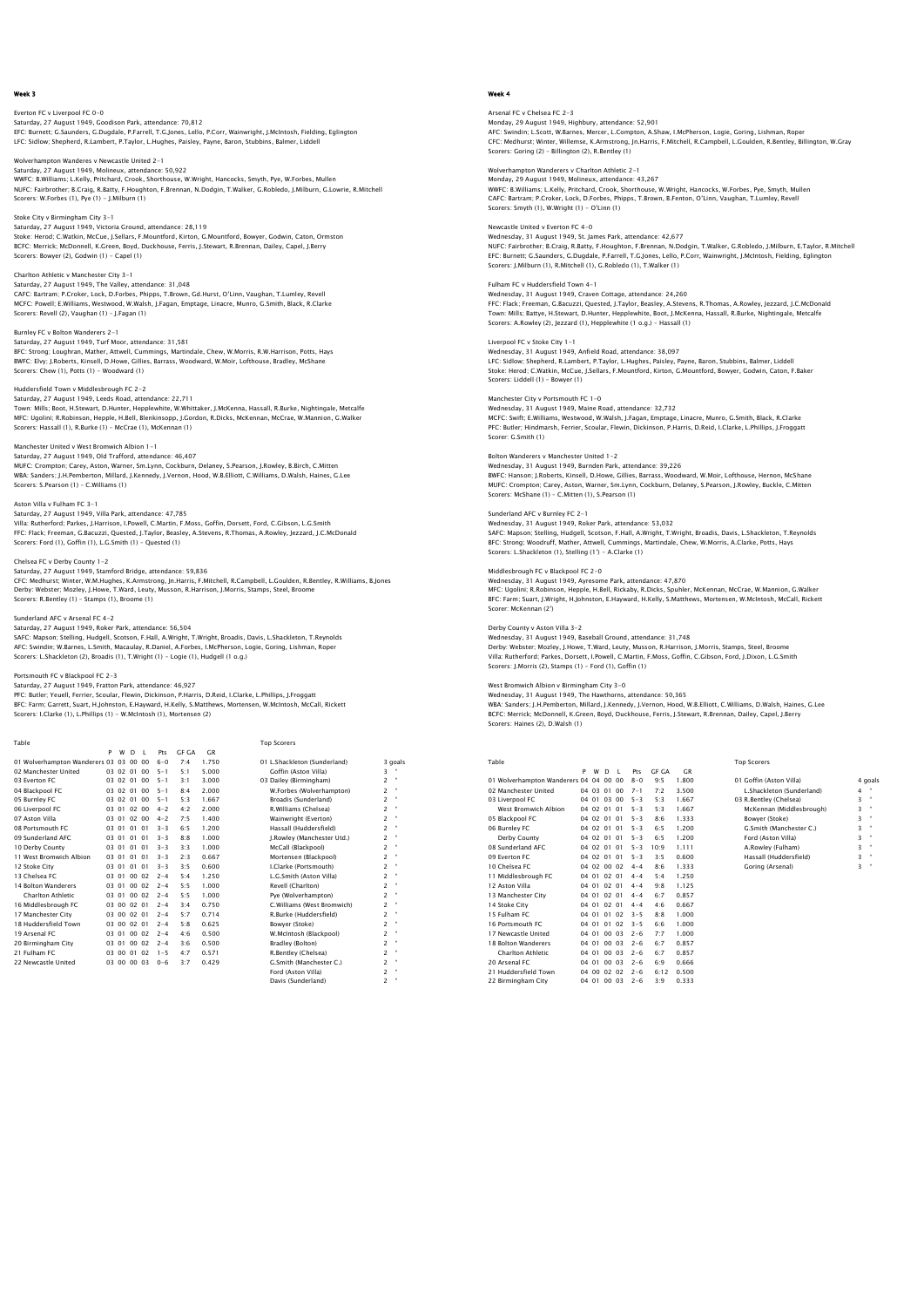## Everton FC v Liverpool FC 0-0 Saturday, 27 August 1949, Goodison Park, attendance: 70,812 EFC: Burnett; G.Saunders, G.Dugdale, P.Farrell, T.G.Jones, Lello, P.Corr, Wainwright, J.McIntosh, Fielding, Eglington LFC: Sidlow; Shepherd, R.Lambert, P.Taylor, L.Hughes, Paisley, Payne, Baron, Stubbins, Balmer, Liddell

# Wolverhampton Wanderes v Newcastle United 2–1<br>Saturday, 27 August 1949, Molineux, attendance: 50,922<br>WWFC: B.Williams; L.Kelly, Pritchard, Crook, Shorthouse, W.Wright, Hancocks, Smyth, Pye, W.Forbes, Mullen NUFC: Fairbrother; B.Craig, R.Batty, F.Houghton, F.Brennan, N.Dodgin, T.Walker, G.Robledo, J.Milburn, G.Lowrie, R.Mitchell Scorers: W.Forbes (1), Pye (1) - J.Milburn (1)

# Stoke City v Birmingham City 3-1

Saturday, 27 August 1949, Victoria Ground, attendance: 28,119 Stoke: Herod; C.Watkin, McCue, J.Sellars, F.Mountford, Kirton, G.Mountford, Bowyer, Godwin, Caton, Ormston BCFC: Merrick; McDonnell, K.Green, Boyd, Duckhouse, Ferris, J.Stewart, R.Brennan, Dailey, Capel, J.Berry Scorers: Bowyer (2), Godwin (1) - Capel (1)

## Charlton Athletic v Manchester City 3-1

Saturday, 27 August 1949, The Valley, attendance: 31,048 CAFC: Bartram; P.Croker, Lock, D.Forbes, Phipps, T.Brown, Gd.Hurst, O'Linn, Vaughan, T.Lumley, Revell MCFC: Powell; E.Williams, Westwood, W.Walsh, J.Fagan, Emptage, Linacre, Munro, G.Smith, Black, R.Clarke Scorers: Revell (2), Vaughan (1) – J.Fagan (1)

## Burnley FC v Bolton Wanderers 2-1

Saturday, 27 August 1949, Turf Moor, attendance: 31,581 BFC: Strong: Loughran, Mather, Attwell, Cummings, Martindale, Chew, W.Morris, R.W.Harrison, Potts, Hays<br>BWFC: Elvy: J.Roberts, Kinsell, D.Howe, Gillies, Barrass, Woodward, W.Moir, Lofthouse, Bradley, McShane<br>Scorers: Chew

#### Huddersfield Town v Middlesbrough FC 2-2

Saturday, 27 August 1949, Leeds Road, attendance: 22,711 Town: Mills; Boot, H.Stewart, D.Hunter, Hepplewhite, W.Whittaker, J.McKenna, Hassall, R.Burke, Nightingale, Metcalfe<br>MFC: Uqolini; R.Robinson, Hepple, H.Bell, Blenkinsopp, J.Gordon, R.Dicks, McKennan, McCrae, W.Mannion, G. Scorers: Hassall (1), R.Burke (1) – McCrae (1), McKennan (1)

## Manchester United v West Bromwich Albion 1-1

Saturday, 27 August 1949, Old Trafford, attendance: 46,407 MUFC: Crompton; Carey, Aston, Warner, Sm.Lynn, Cockburn, Delaney, S.Pearson, J.Rowley, B.Birch, C.Mitten WBA: Sanders; J.H.Pemberton, Millard, J.Kennedy, J.Vernon, Hood, W.B.Elliott, C.Williams, D.Walsh, Haines, G.Lee Scorers: S.Pearson (1) – C.Williams (1)

## Aston Villa v Fulham FC 3-1

Saturday, 27 August 1949, Villa Park, attendance: 47,785<br>Villa: Rutherford; Parkes, J.Harrison, I.Powell, C.Martin, F.Moss, Goffin, Dorsett, Ford, C.Gibson, L.G.Smith<br>FFC: Flack: Freeman, G.Bacuzzi, Quested, J.Taylor, Beas Scorers: Ford (1), Goffin (1), L.G.Smith (1) – Quested (1)

#### Chelsea FC v Derby County 1-2

Saturday, 27 August 1949, Stamford Bridge, attendance: 59,836<br>CFC: Medhurst, Winter, W.M.Hughes, K.Armstrong, Jn.Harris, F.Mitchell, R.Campbell, L.Goulden, R.Bentley, R.Williams, B.Jones<br>Derby: Webster: Mozley, J.Howe, T.W Scorers: R.Bentley (1) – Stamps (1), Broome (1)

#### Sunderland AFC v Arsenal FC 4-2

Saturday, 27 August 1949, Roker Park, attendance: 56,504 SAFC: Mapson; Stelling, Hudgell, Scotson, F.Hall, A.Wright, T.Wright, Broadis, Davis, L.Shackleton, T.Reynolds AFC: Swindin; W.Barnes, L.Smith, Macaulay, R.Daniel, A.Forbes, I.McPherson, Logie, Goring, Lishman, Roper Scorers: L.Shackleton (2), Broadis (1), T.Wright (1) - Logie (1), Hudgell (1 o.g.)

#### uth FC v Blackpool FC 2-3

Saturday, 27 August 1949, Fratton Park, attendance: 46,927 PFC: Butler; Yeuell, Ferrier, Scoular, Flewin, Dickinson, P.Harris, D.Reid, I.Clarke, L.Phillips, J.Froggatt BFC: Farm; Garrett, Suart, H.Johnston, E.Hayward, H.Kelly, S.Matthews, Mortensen, W.McIntosh, McCall, Rickett<br>Scorers: I.Clarke (1), L.Phillips (1) – W.McIntosh (1), Mortensen (2)

| VI WORVEINAINDLOII WANUEIEIS US-US-UU-UU |       |             |          | υ−υ     | $\lambda$ | 1.730 | <u>UL LISHACKIELUH ISUHUEHAHU/</u> |                          | a yuais   |
|------------------------------------------|-------|-------------|----------|---------|-----------|-------|------------------------------------|--------------------------|-----------|
| 02 Manchester United                     |       | 03 02 01 00 |          | $5 - 1$ | 5:1       | 5.000 | Goffin (Aston Villa)               | 3                        |           |
| 03 Everton FC                            |       | 03 02 01 00 |          | $5 - 1$ | 3:1       | 3.000 | 03 Dailey (Birmingham)             | $\overline{c}$           | ×         |
| 04 Blackpool FC                          |       | 03 02 01 00 |          | $5 - 1$ | 8:4       | 2.000 | W.Forbes (Wolverhampton)           | $\overline{c}$           | $\alpha$  |
| 05 Burnley FC                            |       | 03 02       | 0100     | $5 - 1$ | 5:3       | 1.667 | Broadis (Sunderland)               | $\overline{c}$           | ×         |
| 06 Liverpool FC                          |       | 03 01       | 02 00    | $4 - 2$ | 4:2       | 2.000 | R.Williams (Chelsea)               | $\overline{a}$           | $\alpha$  |
| 07 Aston Villa                           |       | 03 01       | 02,00    | $4 - 2$ | 7:5       | 1.400 | Wainwright (Everton)               | $\overline{c}$           | ×         |
| 08 Portsmouth EC                         |       | 03 01       | 0101     | $3 - 3$ | 6:5       | 1.200 | Hassall (Huddersfield)             | $\overline{c}$           | ×         |
| 09 Sunderland AFC                        |       | 03 01 01 01 |          | $3 - 3$ | 8.8       | 1.000 | J.Rowley (Manchester Utd.)         | $\overline{c}$           | ×         |
| 10 Derby County                          |       | 03 01 01 01 |          | $3 - 3$ | 3:3       | 1.000 | McCall (Blackpool)                 | $\overline{c}$           | $\bullet$ |
| 11 West Bromwich Albion                  |       | 03 01       | 0101     | $3 - 3$ | 2:3       | 0.667 | Mortensen (Blackpool)              | $\overline{c}$           | $\bullet$ |
| 12 Stoke City                            | 03 01 |             | 0101     | $3 - 3$ | 3:5       | 0.600 | I.Clarke (Portsmouth)              | $\overline{c}$           | ×         |
| 13 Chelsea FC                            |       | 03 01       | 00 02    | $2 - 4$ | 5:4       | 1.250 | L.G.Smith (Aston Villa)            | $\overline{a}$           | $\alpha$  |
| 14 Bolton Wanderers                      |       | 03 01       | 0002     | $2 - 4$ | 5.5       | 1.000 | Revell (Charlton)                  | $\overline{\phantom{a}}$ | ×         |
| Charlton Athletic                        |       | 03 01       | 0002     | $2 - 4$ | 5:5       | 1.000 | Pve (Wolverhampton)                | $\overline{c}$           | ×         |
| 16 Middlesbrough FC                      |       | 03 00 02 01 |          | $2 - 4$ | 3:4       | 0.750 | C.Williams (West Bromwich)         | $\overline{c}$           | ×         |
| 17 Manchester City                       |       | 03 00 02 01 |          | $2 - 4$ | 5.7       | 0.714 | R.Burke (Huddersfield)             | $\overline{c}$           | ×         |
| 18 Huddersfield Town                     |       | 03 00 02 01 |          | $2 - 4$ | 5:8       | 0.625 | Bowver (Stoke)                     | $\overline{c}$           | $\bullet$ |
| 19 Arsenal FC                            | 03 01 |             | 00 02    | $2 - 4$ | 4:6       | 0.500 | W.McIntosh (Blackpool)             | $\overline{c}$           | $\bullet$ |
| 20 Birmingham City                       |       | 03 01       | 00 02    | $2 - 4$ | 3:6       | 0.500 | Bradley (Bolton)                   | $\overline{c}$           | ×         |
| 21 Fulham FC                             |       | 03 00 01 02 |          | $1 - 5$ | 4:7       | 0.571 | R.Bentley (Chelsea)                | $\overline{c}$           | ×         |
| 22 Newcastle United                      | 03    |             | 00 00 03 | $0 - 6$ | 3:7       | 0.429 | G.Smith (Manchester C.)            | $\overline{c}$           | $\alpha$  |
|                                          |       |             |          |         |           |       | Ford (Aston Villa)                 | $\overline{\phantom{a}}$ | $\alpha$  |
|                                          |       |             |          |         |           |       | Davis (Sunderland)                 | $\overline{\phantom{a}}$ |           |
|                                          |       |             |          |         |           |       |                                    |                          |           |

| Table                                  |   |       |             |      |         |              |       | <b>Top Scorers</b>           |                          |              |
|----------------------------------------|---|-------|-------------|------|---------|--------------|-------|------------------------------|--------------------------|--------------|
|                                        | P | W     | D           | п.   | Pts     | <b>GF GA</b> | C.R   |                              |                          |              |
| 01 Wolverhampton Wanderers 03 03 00 00 |   |       |             |      | $6 - 0$ | 7:4          | 1.750 | 01 L.Shackleton (Sunderland) |                          | 3 goals      |
| 02 Manchester United                   |   |       | 03 02 01 00 |      | $5 - 1$ | 5:1          | 5.000 | Goffin (Aston Villa)         | 3                        |              |
| 03 Everton EC                          |   |       | 03 02 01 00 |      | $5 - 1$ | 3:1          | 3.000 | 03 Dailey (Birmingham)       | $\overline{c}$           | $\bullet$    |
| 04 Blackpool FC                        |   |       | 03 02 01 00 |      | $5 - 1$ | 8:4          | 2.000 | W.Forbes (Wolverhampton)     | $\overline{2}$           | $\bullet$    |
| 05 Burnley FC                          |   |       | 03 02 01 00 |      | $5 - 1$ | 5:3          | 1.667 | Broadis (Sunderland)         | $\overline{c}$           | $\bullet$    |
| 06 Liverpool FC                        |   |       | 03 01 02 00 |      | $4 - 2$ | 4:2          | 2.000 | R. Williams (Chelsea)        | $\overline{c}$           | $\bullet$    |
| 07 Aston Villa                         |   |       | 03 01 02 00 |      | $4 - 2$ | 7:5          | 1.400 | Wainwright (Everton)         | $\overline{c}$           | ×            |
| 08 Portsmouth FC                       |   |       | 03 01 01 01 |      | $3 - 3$ | 6:5          | 1.200 | Hassall (Huddersfield)       | $\overline{c}$           | $\bullet$    |
| 09 Sunderland AFC                      |   | 03 01 | 0101        |      | $3 - 3$ | 8:8          | 1.000 | I.Rowley (Manchester Utd.)   | $\overline{c}$           | $\bullet$    |
| 10 Derby County                        |   |       | 03 01 01 01 |      | $3 - 3$ | 3:3          | 1.000 | McCall (Blackpool)           | $\overline{c}$           | $\bullet$    |
| 11 West Bromwich Albion                |   | 03 01 | 0101        |      | $3 - 3$ | 2:3          | 0.667 | Mortensen (Blackpool)        | $\overline{2}$           | $\bullet$    |
| 12 Stoke City                          |   | 03 01 | 01 01       |      | $3 - 3$ | 3:5          | 0.600 | I.Clarke (Portsmouth)        | $\overline{\phantom{a}}$ | ×            |
| 13 Chelsea EC                          |   | 03 01 | 0002        |      | $2 - 4$ | 5:4          | 1.250 | L.G.Smith (Aston Villa)      | $\overline{a}$           | ×            |
| 14 Bolton Wanderers                    |   | 03 01 | 0002        |      | $2 - 4$ | 5:5          | 1.000 | Revell (Charlton)            | $\overline{c}$           | ×            |
| Charlton Athletic                      |   | 03 01 |             | 0002 | $2 - 4$ | 5:5          | 1.000 | Pve (Wolverhampton)          | $\overline{2}$           | $\bullet$    |
| 16 Middlesbrough FC                    |   |       | 03 00 02 01 |      | $2 - 4$ | 3:4          | 0.750 | C.Williams (West Bromwich)   | $\overline{c}$           | $\bullet$    |
| 17 Manchester City                     |   |       | 03 00 02 01 |      | $2 - 4$ | 5:7          | 0.714 | R.Burke (Huddersfield)       | $\overline{2}$           | $\bullet$    |
| 18 Huddersfield Town                   |   |       | 03 00 02 01 |      | $2 - 4$ | 5:8          | 0.625 | Bowver (Stoke)               | $\overline{c}$           | $\bullet$    |
| 19 Arsenal FC                          |   |       | 03 01 00 02 |      | $2 - 4$ | 4:6          | 0.500 | W.McIntosh (Blackpool)       | $\overline{2}$           | $\bullet$    |
| 20 Birmingham City                     |   |       | 03 01 00 02 |      | $2 - 4$ | 3:6          | 0.500 | Bradley (Bolton)             | $\overline{c}$           | $\bullet$    |
| 21 Fulham FC                           |   |       | 03 00 01 02 |      | $1 - 5$ | 4:7          | 0.571 | R.Bentley (Chelsea)          | $\overline{\phantom{a}}$ | $\bullet$    |
| 22 Newcastle United                    |   |       | 03 00 00 03 |      | $0 - 6$ | 3:7          | 0.429 | G.Smith (Manchester C.)      | $\overline{c}$           | $\bullet$    |
|                                        |   |       |             |      |         |              |       | Ford (Aston Villa)           | $\overline{c}$           | $\bullet$    |
|                                        |   |       |             |      |         |              |       | Davis (Sunderland)           | $\overline{\phantom{a}}$ | $\mathbf{H}$ |

## Week 4

## Arsenal FC v Chelsea FC 2-3 Monday, 29 August 1949, Highbury, attendance: 52,901 AFC: Swindin; L.Scott, W.Barnes, Mercer, L.Compton, A.Shaw, I.McPherson, Logie, Goring, Lishman, Roper CFC: Medhurst; Winter, Willemse, K.Armstrong, Jn.Harris, F.Mitchell, R.Campbell, L.Goulden, R.Bentley, Billington, W.Gray Scorers: Goring (2) – Billington (2), R.Bentley (1)

Wolverhampton Wanderers v Charlton Athletic 2-1 Monday, 29 August 1949, Molineux, attendance: 43,267

WWFC: B.Williams; L.Kelly, Pritchard, Crook, Shorthouse, W.Wright, Hancocks, W.Forbes, Pye, Smyth, Mullen CAFC: Bartram; P.Croker, Lock, D.Forbes, Phipps, T.Brown, B.Fenton, O'Linn, Vaughan, T.Lumley, Revell Scorers: Smyth (1), W.Wright (1) - O'Linn (1)

## Newcastle United v Everton FC 4-0

Wednesday, 31 August 1949, St. James Park, attendance: 42,677<br>NUFC: Fairbrother; B.Craig, R.Batty, F.Houghton, F.Brennan, N.Dodgin, T.Walker, G.Robledo, J.Milburn, E.Taylor, R.Mitchel<br>EFC: Burnett; C.Saunders, G.Dugdale, P

## Fulham FC v Huddersfield Town 4-1

Wednesday, 31 August 1949, Craven Cottage, attendance: 24,260<br>FFC: Flack; Freeman, G.Bacuzzi, Quested, J.Taylor, Beasley, A.Stevens, R.Thomas, A.Rowley, Jezzard, J.C.McDonalc<br>Town: Milis; Battye, H.Stewart, D.Hunter, Heppl

#### Liverpool FC v Stoke City 1-1

Wednesday, 31 August 1949, Anfield Road, attendance: 38,097<br>LFC: Sidlow; Shepherd, R.Lambert, P.Taylor, L.Hughes, Paisley, Payne, Baron, Stubbins, Balmer, Liddell<br>Stoke: Herod: C.Watkin, McCue, J.Sellars, F.Mountford, Kirt Scorers: Liddell (1) – Bowyer (1)

## Manchester City v Portsmouth FC 1-0

Wednesday, 31 August 1949, Maine Road, attendance: 32,732 MCFC: Swift; E.Williams, Westwood, W.Walsh, J.Fagan, Emptage, Linacre, Munro, G.Smith, Black, R.Clarke PFC: Butler; Hindmarsh, Ferrier, Scoular, Flewin, Dickinson, P.Harris, D.Reid, I.Clarke, L.Phillips, J.Froggatt Scorer: G.Smith (1)

Bolton Wanderers v Manchester United 1–2<br>Wednesday, 31 August 1949, Burnden Park, attendance: 39,226<br>BWFC: Hanson; J.Roberts, Kinsell, D.Howe, Gillies, Barrass, Woodward, W.Moir, Lofthouse, Hernon, McShane<br>MUFC: Crompton; Scorers: McShane (1) – C.Mitten (1), S.Pearson (1)

## Sunderland AFC v Burnley FC 2-1

Wednesday, 31 August 1949, Roker Park, attendance: 53,032 SAFC: Mapson; Stelling, Hudgell, Scotson, F.Hall, A.Wright, T.Wright, Broadis, Davis, L.Shackleton, T.Reynolds BFC: Strong; Woodruff, Mather, Attwell, Cummings, Martindale, Chew, W.Morris, A.Clarke, Potts, Hays Scorers: L.Shackleton (1), Stelling (1') - A.Clarke (1)

Middlesbrough FC v Blackpool FC 2–0<br>Wednesday, 31 August 1949, Ayresome Park, attendance: 47,870<br>MFC: Uqolini; R.Robinson, Hepple, H.Bell, Rickaby, R.Dicks, Spuhler, McKennan, McCrae, W.Mannion, G.Walker BFC: Farm; Suart, J.Wright, H.Johnston, E.Hayward, H.Kelly, S.Matthews, Mortensen, W.McIntosh, McCall, Rickett Scorer: McKennan (2')

#### Derby County v Aston Villa 3-2

Wednesday, 31 August 1949, Baseball Ground, attendance: 31,748 Derby: Webster; Mozley, J.Howe, T.Ward, Leuty, Musson, R.Harrison, J.Morris, Stamps, Steel, Broome Villa: Rutherford; Parkes, Dorsett, I.Powell, C.Martin, F.Moss, Goffin, C.Gibson, Ford, J.Dixon, L.G.Smith Scorers: J.Morris (2), Stamps (1) - Ford (1), Goffin (1)

#### West Bromwich Albion v Birmingham City 3-0

Wednesday, 31 August 1949, The Hawthorns, attendance: 50,365 WBA: Sanders: J.H.Pemberton, Millard, J.Kennedy, J.Vernon, Hood, W.B.Elliott, C.Williams, D.Walsh, Haines, G.Lee<br>BCFC: Merrick; McDonnell, K.Green, Boyd, Duckhouse, Ferris, J.Stewart, R.Brennan, Dailey, Capel, J.Berry<br>Scor

|                                        | P  | w           | D     | $\blacksquare$ | Pts     | <b>GF GA</b> | C.R   |                           |   |                        |
|----------------------------------------|----|-------------|-------|----------------|---------|--------------|-------|---------------------------|---|------------------------|
| 01 Wolverhampton Wanderers 04 04 00 00 |    |             |       |                | $8 - 0$ | 9:5          | 1.800 | 01 Goffin (Aston Villa)   |   | 4 goals                |
| 02 Manchester United                   |    | 04 03 01    |       | 00             | $7 - 1$ | 7:2          | 3.500 | L.Shackleton (Sunderland) | 4 |                        |
| 03 Liverpool FC                        |    | 04 01 03 00 |       |                | $5 - 3$ | 5:3          | 1.667 | 03 R.Bentley (Chelsea)    | 3 | $\alpha$               |
| West Bromwich Albion                   |    | 04 02 01 01 |       |                | $5 - 3$ | 5:3          | 1.667 | McKennan (Middlesbrough)  | 3 | $\alpha$               |
| 05 Blackpool FC                        |    | 04 02 01 01 |       |                | $5 - 3$ | 8:6          | 1.333 | Bowyer (Stoke)            | 3 | $\scriptstyle\alpha$   |
| 06 Burnley FC                          |    | 04 02 01 01 |       |                | $5 - 3$ | 6:5          | 1.200 | G.Smith (Manchester C.)   | 3 | $\alpha$               |
| Derby County                           |    | 04 02 01 01 |       |                | $5 - 3$ | 6:5          | 1.200 | Ford (Aston Villa)        | 3 | $\alpha$               |
| 08 Sunderland AFC                      |    | 04 02 01 01 |       |                | $5 - 3$ | 10:9         | 1.111 | A.Rowley (Fulham)         | 3 | $\scriptstyle{\alpha}$ |
| 09 Everton FC                          |    | 04 02 01    |       | 01             | $5 - 3$ | 3:5          | 0.600 | Hassall (Huddersfield)    | 3 | ×                      |
| 10 Chelsea EC                          |    | 04 02 00 02 |       |                | $4 - 4$ | 8:6          | 1.333 | Goring (Arsenal)          | 3 |                        |
| 11 Middlesbrough FC                    |    | 04 01 02 01 |       |                | $4 - 4$ | 5:4          | 1.250 |                           |   |                        |
| 12 Aston Villa                         |    | 04 01       | 0201  |                | $4 - 4$ | 9:8          | 1.125 |                           |   |                        |
| 13 Manchester City                     |    | 04 01 02 01 |       |                | $4 - 4$ | 6.7          | 0.857 |                           |   |                        |
| 14 Stoke City                          |    | 04 01 02 01 |       |                | $4 - 4$ | 4:6          | 0.667 |                           |   |                        |
| 15 Fulham FC                           | 04 | 01          | 01    | 02             | $3 - 5$ | 8:8          | 1.000 |                           |   |                        |
| 16 Portsmouth FC                       |    | 04 01 01    |       | 02             | $3 - 5$ | 6:6          | 1.000 |                           |   |                        |
| 17 Newcastle United                    |    | 04 01 00 03 |       |                | $2 - 6$ | 7:7          | 1.000 |                           |   |                        |
| 18 Bolton Wanderers                    | 04 | 01          | 00 03 |                | $2 - 6$ | 6:7          | 0.857 |                           |   |                        |
| <b>Charlton Athletic</b>               | 04 | 01          | 00 03 |                | $2 - 6$ | 6:7          | 0.857 |                           |   |                        |
| 20 Arsenal FC                          |    | 04 01 00 03 |       |                | $2 - 6$ | 6.9          | 0.666 |                           |   |                        |
| 21 Huddersfield Town                   | 04 | 00 02 02    |       |                | $2 - 6$ | 6:12         | 0.500 |                           |   |                        |
| 22 Birmingham City                     |    | 04 01 00 03 |       |                | $2 - 6$ | 3:9          | 0.333 |                           |   |                        |

Table Top Scorers

# 02 Manchester United 04 03 01 00 7-1 7:2 3.500 L.Shackleton (Sunderland) 4 " iey (Lenesea) 3 \*<br>
1 = (Middlesbrough) 3 \*<br>
1 (Stoke) 3 \*<br>
2 \* (Midlenbester C.) 3 \*<br>
1 (Huddersfield) 3 \*<br>
1 (Huddersfield) 3 \*<br>
1 (Huddersfield) 3 \*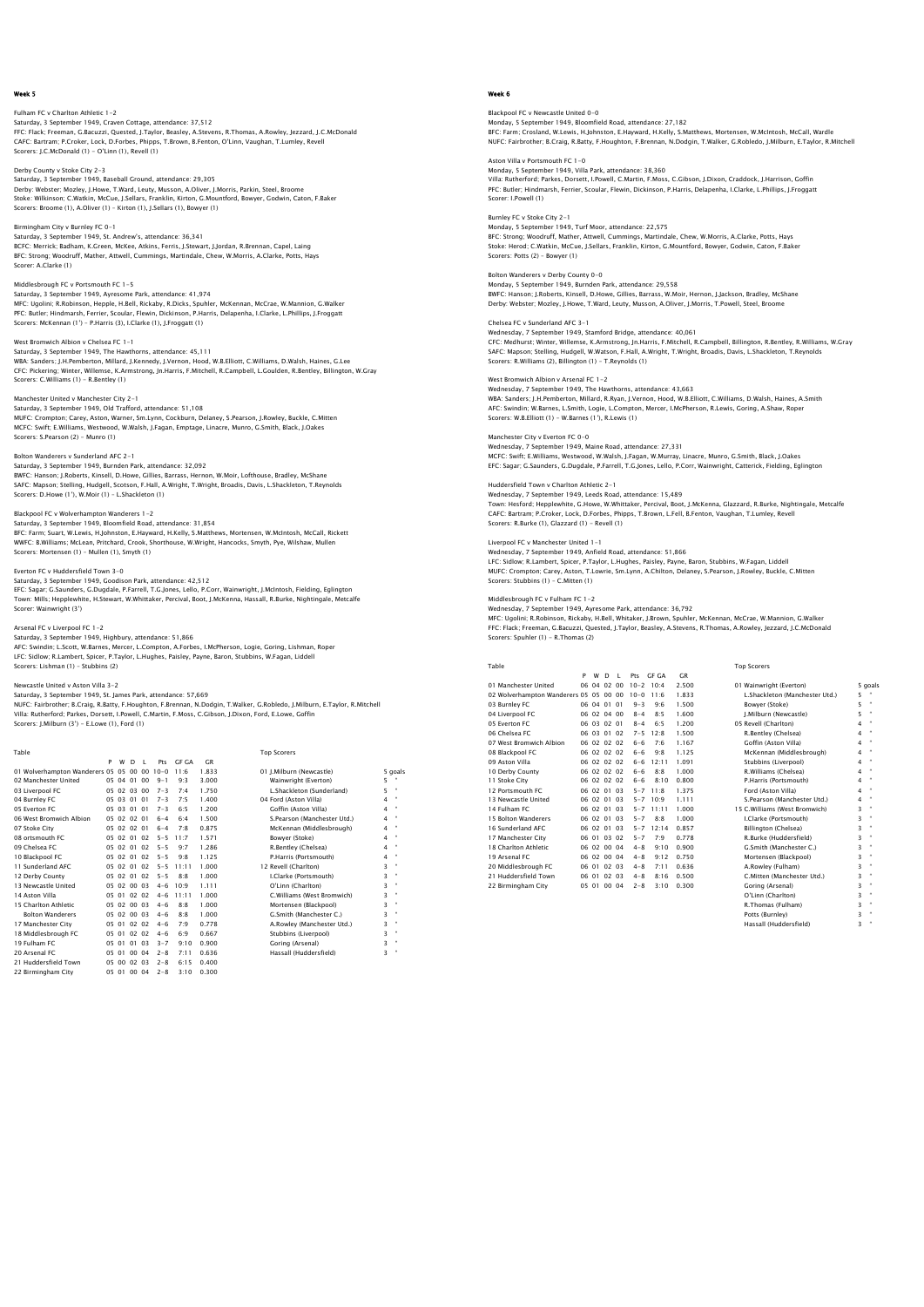## Fulham FC v Charlton Athletic 1-2 Saturday, 3 September 1949, Craven Cottage, attendance: 37,512 FFC: Flack; Freeman, G.Bacuzzi, Quested, J.Taylor, Beasley, A.Stevens, R.Thomas, A.Rowley, Jezzard, J.C.McDonald CAFC: Bartram; P.Croker, Lock, D.Forbes, Phipps, T.Brown, B.Fenton, O'Linn, Vaughan, T.Lumley, Revell Scorers: J.C.McDonald (1) - O'Linn (1), Revell (1)

Derby County v Stoke City 2-3 Saturday, 3 September 1949, Baseball Ground, attendance: 29,305 Derby: Webster; Mozley, J.Howe, T.Ward, Leuty, Musson, A.Oliver, J.Morris, Parkin, Steel, Broome<br>Stoke: Wilkinson; C.Watkin, McCue, J.Sellars, Franklin, Kirton, G.Mountford, Bowyer, Godwin, Caton, F.Baker<br>Scorers: Broome (

Birmingham City v Burnley FC 0-1 Saturday, 3 September 1949, St. Andrew's, attendance: 36,341 BCFC: Merrick; Badham, K.Green, McKee, Atkins, Ferris, J.Stewart, J.Jordan, R.Brennan, Capel, Laing<br>BFC: Strong; Woodruff, Mather, Attwell, Cummings, Martindale, Chew, W.Morris, A.Clarke, Potts, Hays<br>Scorer: A.Clarke (1)

Middlesbrough FC v Portsmouth FC 1-5 Saturday, 3 September 1949, Ayresome Park, attendance: 41,974 MFC: Ugolini; R.Robinson, Hepple, H.Bell, Rickaby, R.Dicks, Spuhler, McKennan, McCrae, W.Mannion, G.Walker<br>PFC: Butler; Hindmarsh, Ferrier, Scoular, Flewin, Dickinson, P.Harris, Delapenha, I.Clarke, L.Phillips, J.Froggatt<br>

West Bromwich Albion v Chelsea FC 1-1 Saturday, 3 September 1949, The Hawthorns, attendance: 45,111<br>WBA: Sanders; J.H.Pemberton, Millard, J.Kennedy, J.Vernon, Hood, W.B.Elliott, C.Williams, D.Walsh, Haines, G.Lee<br>CFC: Pickering; Winter, Willemse, K.Armstrong, Scorers: C.Williams (1) - R.Bentley (1)

#### Manchester United v Manchester City 2-1

Saturday, 3 September 1949, Old Trafford, attendance: 51,108 MUFC: Crompton; Carey, Aston, Warner, Sm.Lynn, Cockburn, Delaney, S.Pearson, J.Rowley, Buckle, C.Mitten MCFC: Swift; E.Williams, Westwood, W.Walsh, J.Fagan, Emptage, Linacre, Munro, G.Smith, Black, J.Oakes Scorers: S.Pearson (2) - Munro (1)

Scorers: D.Howe (1'), W.Moir (1) – L.Shackleton (1)

Bolton Wanderers v Sunderland AFC 2–1<br>Saturday, 3 September 1949, Burnden Park, attendance: 32,092<br>BWFC: Hanson; J.Roberts, Kinsell, D.Howe, Gillies, Barrass, Hernon, W.Moir, Lofthouse, Bradley, McShane<br>SAFC: Mapson; J.Rel

Blackpool FC v Wolverhampton Wanderers 1-2 Saturday, 3 September 1949, Bloomfield Road, attendance: 31,854 BFC: Farm; Suart, W.Lewis, H.Johnston, E.Hayward, H.Kelly, S.Matthews, Mortensen, W.McIntosh, McCall, Rickett WWFC: B.Williams; McLean, Pritchard, Crook, Shorthouse, W.Wright, Hancocks, Smyth, Pye, Wilshaw, Mullen

Everton FC v Huddersfield Town 3-0

Scorers: Mortensen (1) – Mullen (1), Smyth (1)

Saturday, 3 September 1949, Goodison Park, attendance: 42,512 EFC: Sagar; G.Saunders, G.Dugdale, P.Farrell, T.G.Jones, Lello, P.Corr, Wainwright, J.McIntosh, Fielding, Eglington Town: Mills; Hepplewhite, H.Stewart, W.Whittaker, Percival, Boot, J.McKenna, Hassall, R.Burke, Nightingale, Metcalfe Scorer: Wainwright (3')

# Arsenal FC v Liverpool FC 1-2

Saturday, 3 September 1949, Highbury, attendance: 51,866 AFC: Swindin; L.Scott, W.Barnes, Mercer, L.Compton, A.Forbes, I.McPherson, Logie, Goring, Lishman, Roper LFC: Sidlow; R.Lambert, Spicer, P.Taylor, L.Hughes, Paisley, Payne, Baron, Stubbins, W.Fagan, Liddell Scorers: Lishman (1) – Stubbins (2)

Table **Table** Table **Top Scorers** 

#### Newcastle United v Aston Villa 3-2 Saturday, 3 September 1949, St. James Park, attendance: 57,669

NUFC: Fairbrother; B.Craig, R.Batty, F.Houghton, F.Brennan, N.Dodgin, T.Walker, G.Robledo, J.Milburn, E.Taylor, R.Mitchell<br>Villa: Rutherford; Parkes, Dorsett, I.Powell, C.Martin, F.Moss, C.Gibson, J.Dixon, Ford, E.Lowe, Go

|                                        | P  | W           | D.       | $\blacksquare$ | Pts      | GE GA   | C.R   |                             |   |              |
|----------------------------------------|----|-------------|----------|----------------|----------|---------|-------|-----------------------------|---|--------------|
| 01 Wolverhampton Wanderers 05 05 00 00 |    |             |          |                | $10 - 0$ | 11.6    | 1.833 | 01 J.Milburn (Newcastle)    |   | 5 goals      |
| 02 Manchester United                   |    | 05 04 01 00 |          |                | $9 - 1$  | 9:3     | 3.000 | Wainwright (Everton)        | 5 |              |
| 03 Liverpool FC                        |    | 05 02 03 00 |          |                | $7 - 3$  | $7 - 4$ | 1.750 | L.Shackleton (Sunderland)   | 5 | $\mathbf{H}$ |
| 04 Burnley FC                          |    | 05 03       | 01       | $^{\circ}$     | $7 - 3$  | 7:5     | 1.400 | 04 Ford (Aston Villa)       | 4 | $\bullet$    |
| 05 Everton FC                          |    | 05 03 01 01 |          |                | $7 - 3$  | 6:5     | 1.200 | Goffin (Aston Villa)        | 4 |              |
| 06 West Bromwich Albion                |    | 05 02 02 01 |          |                | $6 - 4$  | 6.4     | 1.500 | S.Pearson (Manchester Utd.) | 4 | $\mathbf{H}$ |
| 07 Stoke City                          |    | 05 02 02 01 |          |                | $6 - 4$  | 7:8     | 0.875 | McKennan (Middlesbrough)    | 4 | $\bullet$    |
| 08 ortsmouth FC                        |    | 05 02 01 02 |          |                | $5 - 5$  | 11.7    | 1.571 | Bowyer (Stoke)              | 4 |              |
| 09 Chelsea FC                          |    | 05 02 01 02 |          |                | $5 - 5$  | 9:7     | 1.286 | R.Bentley (Chelsea)         | 4 | $\mathbf{H}$ |
| 10 Blackpool FC                        |    | 05 02 01 02 |          |                | $5 - 5$  | 9:8     | 1.125 | P.Harris (Portsmouth)       | 4 | $\bullet$    |
| 11 Sunderland AFC                      |    | 05 02 01 02 |          |                | $5 - 5$  | 11:11   | 1.000 | 12 Revell (Charlton)        | 3 | $\bullet$    |
| 12 Derby County                        |    | 05 02 01 02 |          |                | $5 - 5$  | 8:8     | 1.000 | I.Clarke (Portsmouth)       | 3 | $\bullet$    |
| 13 Newcastle United                    |    | 05 02 00 03 |          |                | $4 - 6$  | 10.9    | 1.111 | O'Linn (Charlton)           | 3 | $\bullet$    |
| 14 Aston Villa                         |    | 05 01 02 02 |          |                | $4 - 6$  | 11:11   | 1.000 | C.Williams (West Bromwich)  | 3 | $\bullet$    |
| 15 Charlton Athletic                   | 05 |             | 02 00 03 |                | $4 - 6$  | 8:8     | 1.000 | Mortensen (Blackpool)       | 3 | $\bullet$    |
| <b>Bolton Wanderers</b>                |    | 05 02 00 03 |          |                | $4 - 6$  | 8:8     | 1.000 | G.Smith (Manchester C.)     | 3 | $\bullet$    |
| 17 Manchester City                     |    | 05 01 02 02 |          |                | $4 - 6$  | 7:9     | 0.778 | A.Rowley (Manchester Utd.)  | 3 | $\bullet$    |
| 18 Middlesbrough FC                    | 05 | 01          | 0202     |                | $4 - 6$  | 6:9     | 0.667 | Stubbins (Liverpool)        | 3 | $\bullet$    |
| 19 Fulham FC                           | 05 | 01          | 0103     |                | $3 - 7$  | 9:10    | 0.900 | Goring (Arsenal)            | 3 | $\bullet$    |
| 20 Arsenal FC                          | 05 |             | 01 00 04 |                | $2 - 8$  | 7:11    | 0.636 | Hassall (Huddersfield)      | 3 | $\mathbf{H}$ |
| 21 Huddersfield Town                   | 05 | $00 -$      | 0203     |                | $2 - 8$  | 6:15    | 0.400 |                             |   |              |
| 22 Birmingham City                     |    | 05 01 00 04 |          |                | $2 - 8$  | 3:10    | 0.300 |                             |   |              |

## Week 6

Blackpool FC v Newcastle United 0-0 Monday, 5 September 1949, Bloomfield Road, attendance: 27,182 BFC: Farm; Crosland, W.Lewis, H.Johnston, E.Hayward, H.Kelly, S.Matthews, Mortensen, W.McIntosh, McCall, Wardle NUFC: Fairbrother; B.Craig, R.Batty, F.Houghton, F.Brennan, N.Dodgin, T.Walker, G.Robledo, J.Milburn, E.Taylor, R.Mitchell

Aston Villa v Portsmouth FC 1-0 Monday, 5 September 1949, Villa Park, attendance: 38,360 Villa: Rutherford; Parkes, Dorsett, I.Powell, C.Martin, F.Moss, C.Gibson, J.Dixon, Craddock, J.Harrison, Goffin PFC: Butler; Hindmarsh, Ferrier, Scoular, Flewin, Dickinson, P.Harris, Delapenha, I.Clarke, L.Phillips, J.Froggatt Scorer: I.Powell (1)

Burnley FC v Stoke City 2-1 Monday, 5 September 1949, Turf Moor, attendance: 22,575 BFC: Strong; Woodruff, Mather, Attwell, Cummings, Martindale, Chew, W.Morris, A.Clarke, Potts, Hays Stoke: Herod; C.Watkin, McCue, J.Sellars, Franklin, Kirton, G.Mountford, Bowyer, Godwin, Caton, F.Baker Scorers: Potts (2) – Bowyer (1)

Bolton Wanderers v Derby County 0-0 Monday, 5 September 1949, Burnden Park, attendance: 29,558 BWFC: Hanson; J.Roberts, Kinsell, D.Howe, Gillies, Barrass, W.Moir, Hernon, J.Jackson, Bradley, McShane Derby: Webster; Mozley, J.Howe, T.Ward, Leuty, Musson, A.Oliver, J.Morris, T.Powell, Steel, Broome

Chelsea FC v Sunderland AFC 3-1 Wednesday, 7 September 1949, Stamford Bridge, attendance: 40,061 CFC: Medhurst; Winter, Willemse, K.Armstrong, Jn.Harris, F.Mitchell, R.Campbell, Billington, R.Bentley, R.Williams, W.Gray<br>SAFC: Mapson; Stelling, Hudgell, W.Watson, F.Hall, A.Wright, T.Wright, Broadis, Davis, L.Shackleton Scorers: R.Williams (2), Billington (1) – T.Reynolds (1)

West Bromwich Albion v Arsenal FC 1-2 Wednesday, 7 September 1949, The Hawthorns, attendance: 43,663 WBA: Sanders; J.H.Pemberton, Millard, R.Ryan, J.Vernon, Hood, W.B.Elliott, C.Williams, D.Walsh, Haines, A.Smith AFC: Swindin; W.Barnes, L.Smith, Logie, L.Compton, Mercer, I.McPherson, R.Lewis, Goring, A.Shaw, Roper<br>Scorers: W.B.Elliott (1) – W.Barnes (1'), R.Lewis (1)

Manchester City v Everton FC 0-0

Wednesday, 7 September 1949, Maine Road, attendance: 27,331 MCFC: Swift; E.Williams, Westwood, W.Walsh, J.Fagan, W.Murray, Linacre, Munro, G.Smith, Black, J.Oakes EFC: Sagar; G.Saunders, G.Dugdale, P.Farrell, T.G.Jones, Lello, P.Corr, Wainwright, Catterick, Fielding, Eglington

Huddersfield Town v Charlton Athletic 2-1 Wednesday, 7 September 1949, Leeds Road, attendance: 15,489 Town: Hesford; Hepplewhite, G.Howe, W.Whittaker, Percival, Boot, J.McKenna, Glazzard, R.Burke, Nightingale, Metcalfe CAFC: Bartram; P.Croker, Lock, D.Forbes, Phipps, T.Brown, L.Fell, B.Fenton, Vaughan, T.Lumley, Revell Scorers: R.Burke (1), Glazzard (1) - Revell (1)

Liverpool FC v Manchester United 1-1 Wednesday, 7 September 1949, Anfield Road, attendance: 51,866<br>LFC: Sidlow; R.Lambert, Spicer, P.Taylor, L.Hughes, Paisley, Payne, Baron, Stubbins, W.Fagan, Liddell<br>MUFC: Crompton; Carey, Aston, T.Lowrie, Sm.Lynn, A.Chilton

Middlesbrough FC v Fulham FC 1-2

Wednesday, 7 September 1949, Ayresome Park, attendance: 36,792<br>MFC: Ugolini; R.Robinson, Rickaby, H.Bell, Whitaker, J.Brown, Spuhler, McKennan, McCrae, W.Mannion, G.Walker<br>FFC: Flack; Freeman, G.Bacuzzi, Quested, J.Taylor,

| Table                                  |    |             |        |              |          |       |       | <b>Top Scorers</b>             |   |                      |
|----------------------------------------|----|-------------|--------|--------------|----------|-------|-------|--------------------------------|---|----------------------|
|                                        | P  | W           | D.     | $\mathbf{I}$ | Prs      | GE GA | C.R   |                                |   |                      |
| 01 Manchester United                   |    | 06 04 02 00 |        |              | $10-2$   | 10.4  | 2.500 | 01 Wainwright (Everton)        |   | 5 goals              |
| 02 Wolverhampton Wanderers 05 05 00 00 |    |             |        |              | $10 - 0$ | 11:6  | 1.833 | L.Shackleton (Manchester Utd.) | 5 |                      |
| 03 Burnley FC                          |    | 06 04 01 01 |        |              | $9 - 3$  | 9:6   | 1.500 | Bowyer (Stoke)                 | 5 |                      |
| 04 Liverpool FC                        |    | 06 02 04 00 |        |              | $8 - 4$  | 8:5   | 1.600 | I.Milburn (Newcastle)          | 5 | ٠                    |
| 05 Everton EC                          |    | 06 03 02 01 |        |              | $8 - 4$  | 6:5   | 1.200 | 05 Revell (Charlton)           | 4 | $\alpha$             |
| 06 Chelsea FC                          |    | 06 03 01 02 |        |              | $7 - 5$  | 12:8  | 1.500 | R.Bentley (Chelsea)            | 4 |                      |
| 07 West Bromwich Albion                | 06 | 02 02 02    |        |              | $6 - 6$  | 7:6   | 1.167 | Goffin (Aston Villa)           | 4 | $\alpha$             |
| 08 Blackpool FC                        |    | 06 02 02 02 |        |              | $6 - 6$  | 9:8   | 1.125 | McKennan (Middlesbrough)       | 4 | ٠                    |
| 09 Aston Villa                         | 06 | 02 02 02    |        |              | $6 - 6$  | 12:11 | 1.091 | Stubbins (Liverpool)           | 4 | $\mathbf{a}$         |
| 10 Derby County                        |    | 06 02 02 02 |        |              | $6 - 6$  | 8:8   | 1.000 | R.Williams (Chelsea)           | 4 | ٠                    |
| 11 Stoke City                          |    | 06 02 02 02 |        |              | $6 - 6$  | 8:10  | 0.800 | P.Harris (Portsmouth)          | 4 | $\scriptstyle\alpha$ |
| 12 Portsmouth FC                       |    | 06 02 01 03 |        |              | $5 - 7$  | 11.8  | 1.375 | Ford (Aston Villa)             | 4 | ٠                    |
| 13 Newcastle United                    |    | 06 02 01 03 |        |              | $5 - 7$  | 10:9  | 1.111 | S.Pearson (Manchester Utd.)    | 4 | $\mathbf{a}$         |
| 14 Fulham FC                           |    | 06 02       | 0103   |              | $5 - 7$  | 11:11 | 1.000 | 15 C.Williams (West Bromwich)  | 3 | $\mathbf{a}$         |
| 15 Bolton Wanderers                    |    | 06 02 01 03 |        |              | $5 - 7$  | 8.8   | 1.000 | I.Clarke (Portsmouth)          | 3 |                      |
| 16 Sunderland AFC                      | 06 | 02 01 03    |        |              | $5 - 7$  | 12.14 | 0.857 | Billington (Chelsea)           | 3 | ٠                    |
| 17 Manchester City                     | 06 |             | 010302 |              | $5 - 7$  | 7:9   | 0.778 | R.Burke (Huddersfield)         | 3 | $\scriptstyle\alpha$ |
| 18 Charlton Athletic                   |    | 06 02 00 04 |        |              | $4 - 8$  | 9:10  | 0.900 | G.Smith (Manchester C.)        | 3 | $\alpha$             |
| 19 Arsenal FC                          |    | 06 02 00 04 |        |              | $4 - 8$  | 9:12  | 0.750 | Mortensen (Blackpool)          | 3 | $\alpha$             |
| 20 Middlesbrough FC                    | 06 | 01          | 02 03  |              | $4 - 8$  | 7:11  | 0.636 | A.Rowley (Fulham)              | 3 |                      |
| 21 Huddersfield Town                   | 06 | 01          | 0203   |              | $4 - 8$  | 8:16  | 0.500 | C.Mitten (Manchester Utd.)     | 3 | $\alpha$             |
| 22 Birmingham City                     | 05 | 01          |        | 00.04        | $2 - 8$  | 3:10  | 0.300 | Goring (Arsenal)               | 3 |                      |

| 01 Wainwright (Everton)        |                         | 5 <sub>qc</sub> |
|--------------------------------|-------------------------|-----------------|
| L.Shackleton (Manchester Utd.) | 5                       |                 |
| Bowver (Stoke)                 | 5                       | l               |
| I.Milburn (Newcastle)          | 5                       | l               |
| 05 Revell (Charlton)           | 4                       | l               |
| R.Bentley (Chelsea)            | 4                       | l               |
| Goffin (Aston Villa)           | 4                       | l               |
| McKennan (Middlesbrough)       | 4                       | l               |
| Stubbins (Liverpool)           | 4                       | l               |
| R.Williams (Chelsea)           | 4                       | l               |
| P.Harris (Portsmouth)          | 4                       | l               |
| Ford (Aston Villa)             | 4                       | l               |
| S.Pearson (Manchester Utd.)    | $\overline{\mathbf{4}}$ | l               |
| 15 C.Williams (West Bromwich)  | 3                       | l               |
| I.Clarke (Portsmouth)          | 3                       | l               |
| Billington (Chelsea)           | 3                       | j               |
| R.Burke (Huddersfield)         | 3                       | l               |
| G.Smith (Manchester C.)        | 3                       | l               |
| Mortensen (Blackpool)          | 3                       | l               |
| A.Rowley (Fulham)              | 3                       | l               |
| C.Mitten (Manchester Utd.)     | 3                       | l               |
| Goring (Arsenal)               | 3                       | l               |
| O'Linn (Charlton)              | 3                       | l               |
| R.Thomas (Fulham)              | 3                       | l               |
| Potts (Burnley)                | 3                       | l               |
| Hassall (Huddersfield)         | 3                       | j               |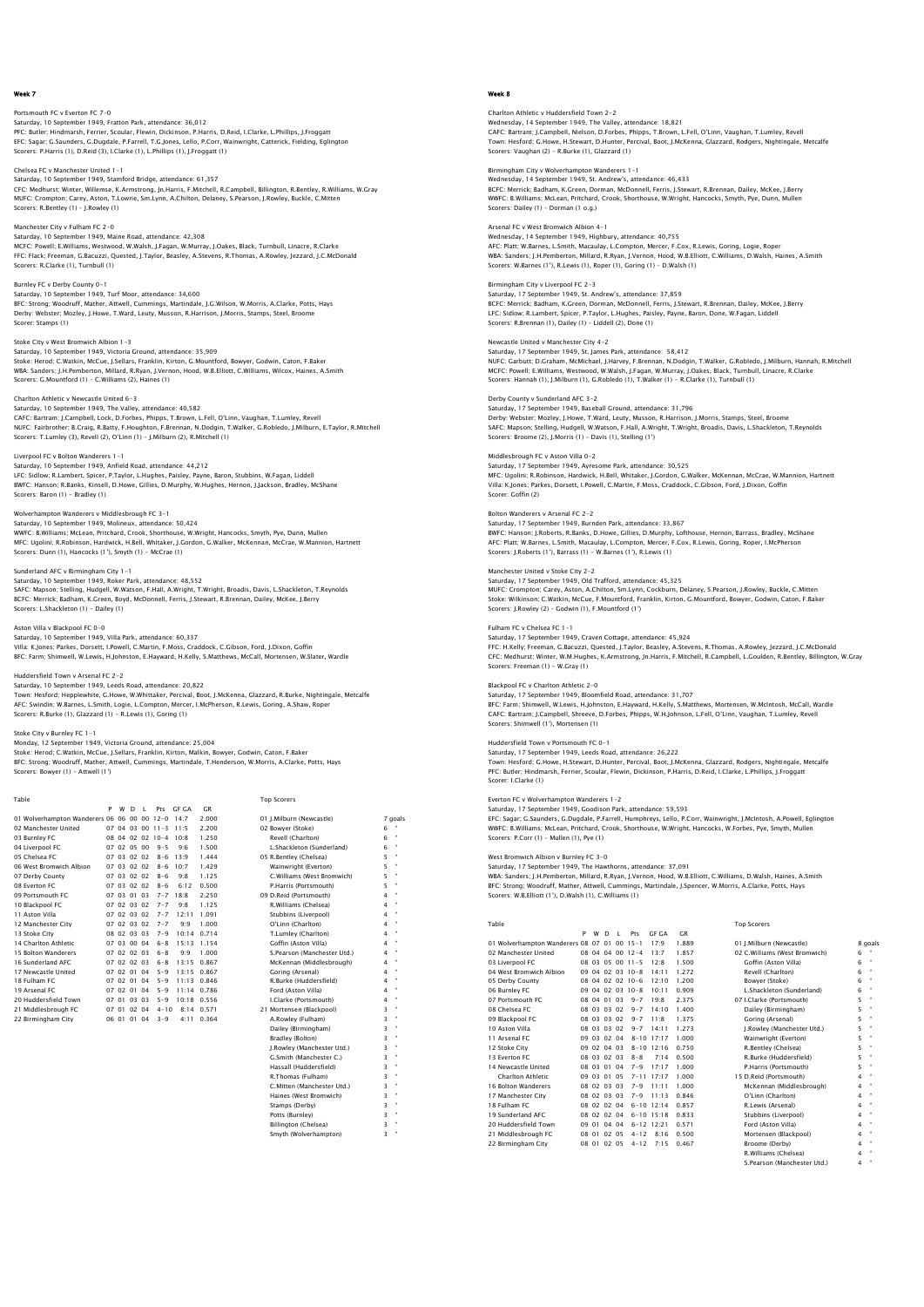## Portsmouth FC v Everton FC 7-0 Saturday, 10 September 1949, Fratton Park, attendance: 36,012 PFC: Butler; Hindmarsh, Ferrier, Scoular, Flewin, Dickinson, P.Harris, D.Reid, I.Clarke, L.Phillips, J.Froggatt EFC: Sagar; G.Saunders, G.Dugdale, P.Farrell, T.G.Jones, Lello, P.Corr, Wainwright, Catterick, Fielding, Eglington Scorers: P.Harris (1), D.Reid (3), I.Clarke (1), L.Phillips (1), J.Froggatt (1)

# Chelsea FC v Manchester United 1-1 Saturday, 10 September 1949, Stamford Bridge, attendance: 61,357 CFC: Medhurst; Winter, Willemse, K.Armstrong, Jn.Harris, F.Mitchell, R.Campbell, Billington, R.Bentley, R.Williams, W.Gray<br>MUFC: Crompton; Carey, Aston, T.Lowrie, Sm.Lynn, A.Chilton, Delaney, S.Pearson, J.Rowley, Buckle, C

Manchester City v Fulham FC 2-0 Saturday, 10 September 1949, Maine Road, attendance: 42,308<br>MCFC: Powell; E.Williams, Westwood, W.Walsh, J.Fagan, W.Murray, J.Oakes, Black, Turnbull, Linacre, R.Clarke<br>FFC: Flack: Freeman, G.Bacuzzi, Quested, J.Tavlor, Bea Scorers: R.Clarke (1), Turnbull (1)

#### Burnley FC v Derby County 0-1 Saturday, 10 September 1949, Turf Moor, attendance: 34,600

BFC: Strong; Woodruff, Mather, Attwell, Cummings, Martindale, J.G.Wilson, W.Morris, A.Clarke, Potts, Hays<br>Derby: Webster; Mozley, J.Howe, T.Ward, Leuty, Musson, R.Harrison, J.Morris, Stamps, Steel, Broome<br>Scorer: Stamps (1

# Stoke City v West Bromwich Albion 1-3 Saturday, 10 September 1949, Victoria Ground, attendance: 35,909

Stoke: Herod; C.Watkin, McCue, J.Sellars, Franklin, Kirton, G.Mountford, Bowyer, Godwin, Caton, F.Baker WBA: Sanders; J.H.Pemberton, Millard, R.Ryan, J.Vernon, Hood, W.B.Elliott, C.Williams, Wilcox, Haines, A.Smith Scorers: G.Mountford (1) – C.Williams (2), Haines (1)

#### Charlton Athletic v Newcastle United 6-3

Saturday, 10 September 1949, The Valley, attendance: 40,582<br>CAFC: Bartram; J.Campbell, Lock, D.Forbes, Phipps, T.Brown, L.Fell, O'Linn, Vaughan, T.Lumley, Revell<br>NUFC: Fairbrother; B.Craig, R.Batty, F.Houghton, F.Brennan, Scorers: T.Lumley (3), Revell (2), O'Linn (1) – J.Milburn (2), R.Mitchell (1)

Liverpool FC v Bolton Wanderers 1–1<br>Saturday, 10 September 1949, Anfield Road, attendance: 44,212<br>LFC: Sidlow; R.Lambert, Spicer, P.Taylor, L.Hughes, Pasisley, Payne, Baron, Stubbins, W.Fagan, Liddell<br>EWFC: Hanson: R.Banks Scorers: Baron (1) - Bradley (1)

Wolverhampton Wanderers v Middlesbrough FC 3–1<br>Saturday, 10 September 1949, Molineux, attendance: 50,424<br>WWFC: B.Williams; McLean, Pritchard, Crook, Shorthouse, W.Wright, Hancocks, Smyth, Pye, Dunn, Mullen MFC: Ugolini; R.Robinson, Hardwick, H.Bell, Whitaker, J.Gordon, G.Walker, McKennan, McCrae, W.Mannion, Hartnett Scorers: Dunn (1), Hancocks (1'), Smyth (1) - McCrae (1)

Sunderland AFC v Birmingham City 1–1<br>Saturday, 10 September 1949, Roker Park, attendance: 48,552<br>SAFC: Mapson; Stelling, Hudgell, W.Watson, F.Hall, A.Wright, T.Wright, Broadis, Davis, L.Shackleton, T.Reynolds BCFC: Merrick; Badham, K.Green, Boyd, McDonnell, Ferris, J.Stewart, R.Brennan, Dailey, McKee, J.Berry Scorers: L.Shackleton (1) - Dailey (1)

## Aston Villa v Blackpool FC 0-0

Saturday, 10 September 1949, Villa Park, attendance: 60,337 Villa: K.Jones; Parkes, Dorsett, I.Powell, C.Martin, F.Moss, Craddock, C.Gibson, Ford, J.Dixon, Goffin BFC: Farm; Shimwell, W.Lewis, H.Johnston, E.Hayward, H.Kelly, S.Matthews, McCall, Mortensen, W.Slater, Wardle

#### Huddersfield Town v Arsenal FC 2-2

Saturday, 10 September 1949, Leeds Road, attendance: 20,822 Town: Hesford; Hepplewhite, G.Howe, W.Whittaker, Percival, Boot, J.McKenna, Glazzard, R.Burke, Nightingale, Metcalfe AFC: Swindin; W.Barnes, L.Smith, Logie, L.Compton, Mercer, I.McPherson, R.Lewis, Goring, A.Shaw, Roper Scorers: R.Burke (1), Glazzard (1) - R.Lewis (1), Goring (1)

#### Stoke City v Burnley FC 1-1

Monday, 12 September 1949, Victoria Ground, attendance: 25,004 Stoke: Herod; C.Watkin, McCue, J.Sellars, Franklin, Kirton, Malkin, Bowyer, Godwin, Caton, F.Baker<br>BFC: Strong; Woodruff, Mather, Attwell, Cummings, Martindale, T.Henderson, W.Morris, A.Clarke, Potts, Hays<br>Scorers: Bowyer

| Table                                            |   |             |              |    |                           |              |              | <b>Top Scorers</b>                                                                                                                                                                                                                                                                                                                                                                                                                                                         |    |              |
|--------------------------------------------------|---|-------------|--------------|----|---------------------------|--------------|--------------|----------------------------------------------------------------------------------------------------------------------------------------------------------------------------------------------------------------------------------------------------------------------------------------------------------------------------------------------------------------------------------------------------------------------------------------------------------------------------|----|--------------|
|                                                  | P | W           | <sup>D</sup> | л. |                           | Pts GF GA    | GR           |                                                                                                                                                                                                                                                                                                                                                                                                                                                                            |    |              |
| 01 Wolverhampton Wanderers 06 06 00 00 12-0 14:7 |   |             |              |    |                           |              | 2.000        | 01 I.Milburn (Newcastle)                                                                                                                                                                                                                                                                                                                                                                                                                                                   |    | 7 goals      |
| 02 Manchester United                             |   |             |              |    | $07.04.03.00.11 - 3.11.5$ |              | 2.200        | 02 Bowver (Stoke)                                                                                                                                                                                                                                                                                                                                                                                                                                                          | 6  |              |
| 03 Burnley FC                                    |   |             |              |    | 08 04 02 02 10-4 10:8     |              | 1.250        | Revell (Charlton)                                                                                                                                                                                                                                                                                                                                                                                                                                                          | 6  | $\mathbf{H}$ |
| 04 Liverpool FC                                  |   | 07 02 05 00 |              |    | $9 - 5$                   | 9.6          | 1.500        | L.Shackleton (Sunderland)                                                                                                                                                                                                                                                                                                                                                                                                                                                  | 6  | $\mathbf{H}$ |
| 05 Chelsea FC                                    |   | 07 03 02 02 |              |    | $8 - 6$                   | 13:9         | 1.444        | 05 R.Bentley (Chelsea)                                                                                                                                                                                                                                                                                                                                                                                                                                                     | 5  |              |
| 06 West Bromwich Albion                          |   | 07 03 02 02 |              |    | $8 - 6$                   | 10.7         | 1.429        | Wainwright (Everton)                                                                                                                                                                                                                                                                                                                                                                                                                                                       | 5  | $\alpha$     |
| 07 Derby County                                  |   | 07 03 02 02 |              |    | $8 - 6$                   | 9:8          | 1.125        | C.Williams (West Bromwich)                                                                                                                                                                                                                                                                                                                                                                                                                                                 | 5  | $\bullet$    |
| 08 Everton EC                                    |   | 07 03 02 02 |              |    | $8 - 6$                   | 6:12         | 0.500        | P.Harris (Portsmouth)                                                                                                                                                                                                                                                                                                                                                                                                                                                      | 5  | $\bullet$    |
| 09 Portsmouth FC                                 |   | 07 03 01 03 |              |    |                           | $7 - 7$ 18 8 | 2.250        | 09 D.Reid (Portsmouth)                                                                                                                                                                                                                                                                                                                                                                                                                                                     | 4  | $\mathbf{H}$ |
| 10 Blackpool FC                                  |   | 07 02 03 02 |              |    | $7 - 7$                   | 9.8          | 1.125        | R. Williams (Chelsea)                                                                                                                                                                                                                                                                                                                                                                                                                                                      | 4  | $\bullet$    |
| 11 Aston Villa                                   |   | 07 02 03 02 |              |    | $7 - 7$                   | 12.11        | 1.091        | Stubbins (Liverpool)                                                                                                                                                                                                                                                                                                                                                                                                                                                       | 4  | $\bullet$    |
| 12 Manchester City                               |   | 07 02 03 02 |              |    | $7 - 7$                   | $Q \cdot Q$  | 1.000        | O'Linn (Charlton)                                                                                                                                                                                                                                                                                                                                                                                                                                                          | 4  | a,           |
| 13 Stoke City                                    |   | 08 02 03 03 |              |    | $7 - 9$                   | 10:14        | 0.714        | T.Lumley (Charlton)                                                                                                                                                                                                                                                                                                                                                                                                                                                        | 4  | $\bullet$    |
| 14 Charlton Athletic                             |   | 07 03 00 04 |              |    | $6 - 8$                   | 15:13        | 1.154        | Goffin (Aston Villa)                                                                                                                                                                                                                                                                                                                                                                                                                                                       | 4  | $\bullet$    |
| 15 Bolton Wanderers                              |   | 07 02 02 03 |              |    | $6 - 8$                   | 9:9          | 1.000        | S.Pearson (Manchester Utd.)                                                                                                                                                                                                                                                                                                                                                                                                                                                | 4  | $\bullet$    |
| 16 Sunderland AFC                                |   | 07 02 02 03 |              |    | $6 - 8$                   | 13:15        | 0.867        | McKennan (Middlesbrough)                                                                                                                                                                                                                                                                                                                                                                                                                                                   | 4  | $\bullet$    |
| 17 Newcastle United                              |   | 07 02 01 04 |              |    | $5 - 9$                   |              | 13:15 0.867  | Goring (Arsenal)                                                                                                                                                                                                                                                                                                                                                                                                                                                           | 4  | $\bullet$    |
| 18 Fulham FC                                     |   | 07 02 01 04 |              |    | $5 - 9$                   | 11:13 0.846  |              | R.Burke (Huddersfield)                                                                                                                                                                                                                                                                                                                                                                                                                                                     | 4  | $\bullet$    |
| 19 Arsenal FC                                    |   | 07 02 01 04 |              |    | $5 - 9$                   | 11:14        | 0.786        | Ford (Aston Villa)                                                                                                                                                                                                                                                                                                                                                                                                                                                         | 4  | $\bullet$    |
| 20 Huddersfield Town                             |   | 07 01       | 03 03        |    | $5 - 9$                   | 10:18        | 0.556        | I.Clarke (Portsmouth)                                                                                                                                                                                                                                                                                                                                                                                                                                                      | 4  | $\bullet$    |
| 21 Middlesbrough FC                              |   | 07 01 02 04 |              |    | $4 - 10$                  |              | $8:14$ 0.571 | 21 Mortensen (Blackpool)                                                                                                                                                                                                                                                                                                                                                                                                                                                   | 3  | $\mathbf{a}$ |
| 22 Birmingham City                               |   | 06 01 01 04 |              |    | $3 - 9$                   |              | 4:11 0.364   | A.Rowley (Fulham)                                                                                                                                                                                                                                                                                                                                                                                                                                                          | 3  | $\bullet$    |
|                                                  |   |             |              |    |                           |              |              | Dailey (Birmingham)                                                                                                                                                                                                                                                                                                                                                                                                                                                        | 3  | $\mathbf{H}$ |
|                                                  |   |             |              |    |                           |              |              | Bradley (Bolton)                                                                                                                                                                                                                                                                                                                                                                                                                                                           | z  | $\bullet$    |
|                                                  |   |             |              |    |                           |              |              | $\blacksquare$ Properties of $\blacksquare$ $\blacksquare$ $\blacksquare$ $\blacksquare$ $\blacksquare$ $\blacksquare$ $\blacksquare$ $\blacksquare$ $\blacksquare$ $\blacksquare$ $\blacksquare$ $\blacksquare$ $\blacksquare$ $\blacksquare$ $\blacksquare$ $\blacksquare$ $\blacksquare$ $\blacksquare$ $\blacksquare$ $\blacksquare$ $\blacksquare$ $\blacksquare$ $\blacksquare$ $\blacksquare$ $\blacksquare$ $\blacksquare$ $\blacksquare$ $\blacksquare$ $\blacks$ | ъ. |              |

| 02 Bowyer (Stoke)           | 6                       | ٠ |
|-----------------------------|-------------------------|---|
| Revell (Charlton)           | 6                       | ă |
| L.Shackleton (Sunderland)   | 6                       |   |
| 05 R.Bentley (Chelsea)      | 5                       |   |
| Wainwright (Everton)        | 5                       | ă |
| C.Williams (West Bromwich)  | 5                       |   |
| P.Harris (Portsmouth)       | 5                       | ٠ |
| 09 D.Reid (Portsmouth)      | 4                       | ă |
| R.Williams (Chelsea)        | 4                       | 8 |
| Stubbins (Liverpool)        | 4                       |   |
| O'Linn (Charlton)           | 4                       | ٠ |
| T.Lumley (Charlton)         | 4                       | ٠ |
| Goffin (Aston Villa)        | $\overline{\mathbf{4}}$ |   |
| S.Pearson (Manchester Utd.) | 4                       |   |
| McKennan (Middlesbrough)    | 4                       | ă |
| Goring (Arsenal)            | 4                       |   |
| R.Burke (Huddersfield)      | $\overline{\mathbf{4}}$ |   |
| Ford (Aston Villa)          | 4                       | ă |
| I.Clarke (Portsmouth)       | 4                       | ٠ |
| 21 Mortensen (Blackpool)    | 3                       |   |
| A.Rowley (Fulham)           | 3                       | ٠ |
| Dailey (Birmingham)         | 3                       | ٠ |
| Bradley (Bolton)            | 3                       |   |
| J.Rowley (Manchester Utd.)  | 3                       | 8 |
| G.Smith (Manchester C.)     | 3                       | ă |
| Hassall (Huddersfield)      | 3                       | ٠ |
| R.Thomas (Fulham)           | 3                       |   |
| C.Mitten (Manchester Utd.)  | 3                       | ă |
| Haines (West Bromwich)      | 3                       | ٠ |
| Stamps (Derby)              | 3                       | ă |
| Potts (Burnley)             | 3                       | 8 |
| Billington (Chelsea)        | 3                       | ٠ |
| Smyth (Wolverhampton)       | 3                       | ă |

# Week 8

#### Charlton Athletic v Huddersfield Town 2-2 Wednesday, 14 September 1949, The Valley, attendance: 18,821 CAFC: Bartram; J.Campbell, Nielson, D.Forbes, Phipps, T.Brown, L.Fell, O'Linn, Vaughan, T.Lumley, Revell Town: Hesford; G.Howe, H.Stewart, D.Hunter, Percival, Boot, J.McKenna, Glazzard, Rodgers, Nightingale, Metcalfe Scorers: Vaughan (2) – R.Burke (1), Glazzard (1)

Birmingham City v Wolverhampton Wanderers 1-1 Wednesday, 14 September 1949, St. Andrew's, attendance: 46,433

BCFC: Merrick; Badham, K.Green, Dorman, McDonnell, Ferris, J.Stewart, R.Brennan, Dailey, McKee, J.Berry WWFC: B.Williams; McLean, Pritchard, Crook, Shorthouse, W.Wright, Hancocks, Smyth, Pye, Dunn, Mulle Scorers: Dailey (1) – Dorman (1 o.g.)

# Arsenal FC v West Bromwich Albion 4-1

Wednesday, 14 September 1949, Highbury, attendance: 40,755 AFC: Platt; W.Barnes, L.Smith, Macaulay, L.Compton, Mercer, F.Cox, R.Lewis, Goring, Logie, Roper<br>WBA: Sanders; J.H.Pemberton, Millard, R.Ryan, J.Vernon, Hood, W.B.Elliott, C.Williams, D.Walsh, Haines, A.Smith<br>Scorers: W.Ba

#### Birmingham City v Liverpool FC 2-3

Saturday, 17 September 1949, St. Andrew's, attendance: 37,859 BCFC: Merrick; Badham, K.Green, Dorman, McDonnell, Ferris, J.Stewart, R.Brennan, Dailey, McKee, J.Berry<br>LFC: Sidlow; R.Lambert, Spicer, P.Taylor, L.Hughes, Paisley, Payne, Baron, Done, W.Fagan, Liddell<br>Scorers: R.Brennan (

#### Newcastle United v Manchester City 4-2

Saturday, 17 September 1949, St. James Park, attendance: 58,412<br>NUFC: Garbutt; D.Graham, McMichael, J.Harvey, F.Brennan, N.Dodgin, T.Walker, G.Robledo, J.Milburn, Hannah, R.Mitchell<br>MCFC: Powell; E.Williams, Westwood, W.W Scorers: Hannah (1), J.Milburn (1), G.Robledo (1), T.Walker (1) - R.Clarke (1), Turnbull (1)

#### Derby County v Sunderland AFC 3-2

Saturday, 17 September 1949, Baseball Ground, attendance: 31,796<br>Derby: Webster; Mozley, J.Howe, T.Ward, Leuty, Musson, R.Harrison, J.Morris, Stamps, Steel, Broome<br>SAFC: Mapson; Stelling, Hudgell, W.Watson, F.Hall, A.Wrigh Scorers: Broome (2), J.Morris (1) – Davis (1), Stelling (1')

#### Middlesbrough FC v Aston Villa 0-2

Saturday, 17 September 1949, Ayresome Park, attendance: 30,525 MFC: Ugolini; R.Robinson, Hardwick, H.Bell, Whitaker, J.Gordon, G.Walker, McKennan, McCrae, W.Mannion, Hartnett Villa: K.Jones; Parkes, Dorsett, I.Powell, C.Martin, F.Moss, Craddock, C.Gibson, Ford, J.Dixon, Goffin Scorer: Goffin (2)

## Bolton Wanderers v Arsenal FC 2-2

Saturday, 17 September 1949, Burnden Park, attendance: 33,867<br>BWFC: Hanson; J.Roberts, R.Banks, D.Howe, Gillies, D.Murphy, Lofthouse, Hernon, Barrass, Bradley, McShane<br>AFC: Platt; W.Barnes, L.Smith, Macaulay, L.Compton, Me Scorers: J.Roberts (1'), Barrass (1) - W.Barnes (1'), R.Lewis (1)

## Manchester United v Stoke City 2-2

Saturday, 17 September 1949, Old Trafford, attendance: 45,325 MUFC: Crompton; Carey, Aston, A.Chilton, Sm.Lynn, Cockburn, Delaney, S.Pearson, J.Rowley, Buckle, C.Mitten Stoke: Wilkinson; C.Watkin, McCue, F.Mountford, Franklin, Kirton, G.Mountford, Bowyer, Godwin, Caton, F.Baker Scorers: J.Rowley (2) – Godwin (1), F.Mountford (1')

#### Fulham FC v Chelsea FC 1-1

Saturday, 17 September 1949, Craven Cottage, attendance: 45,924 FFC: H.Kelly; Freeman, G.Bacuzzi, Quested, J.Taylor, Beasley, A.Stevens, R.Thomas, A.Rowley, Jezzard, J.C.McDonald CFC: Medhurst; Winter, W.M.Hughes, K.Armstrong, Jn.Harris, F.Mitchell, R.Campbell, L.Goulden, R.Bentley, Billington, W.Gray Scorers: Freeman (1) - W.Gray (1)

## Blackpool FC v Charlton Athletic 2-0

Saturday, 17 September 1949, Bloomfield Road, attendance: 31,707 BFC: Farm; Shimwell, W.Lewis, H.Johnston, E.Hayward, H.Kelly, S.Matthews, Mortensen, W.McIntosh, McCall, Wardle<br>CAFC: Bartram: J.Campbell, Shreeve, D.Forbes, Phipps, W.H.Johnson, L.Fell, O'Linn, Vaughan, T.Lumley, Revell<br>S

Huddersfield Town v Pontsmouth FC 0–1<br>Saturday, 17 September 1949, Leeds Road, attendance: 26,222<br>Town: Hesford; G.Howe, H.Stewart, D.Hunter, Percival, Boot, J.McKenna, Glazzard, Rodgers, Nightingale, Metcalfe<br>PFC: Butler;

#### Everton FC v Wolverhampton Wanderers 1-2

Saturday, 17 September 1949, Goodison Park, attendance: 59,593<br>EFC: Sagar; G.Saunders, G.Dugdale, P.Farrell, Humphreys, Lello, P.Corr, Wainwright, J.McIntosh, A.Powell, Eglingtor<br>WWFC: B.Williams; McLean, Pritchard, Crook,

West Bromwich Albion v Burnley FC 3–0<br>Saturday, 17 September 1949, The Hawthorns, attendance: 37,091<br>WBA: Sanders; J.H.Pemberton, Millard, R.Ryan, J.Vernon, Hood, W.B.Elliott, C.Williams, D.Walsh, Haines, A.Smith<br>BFC: Stro Scorers: W.B.Elliott (1'), D.Walsh (1), C.Williams (1)

# Table Top Scorers P W D L Pts GF GA GR

| 01 Wolverhampton Wanderers 08 07 01 00 15-1 |    |          |             |       |                  | 17:9             | 1.889 | 01 I.Milburn (Newcastle)      |   | 8 goals              |
|---------------------------------------------|----|----------|-------------|-------|------------------|------------------|-------|-------------------------------|---|----------------------|
| 02 Manchester United                        |    |          |             |       | 08 04 04 00 12-4 | 13.7             | 1.857 | 02 C.Williams (West Bromwich) | 6 |                      |
| 03 Liverpool FC                             |    |          |             |       | 08 03 05 00 11-5 | 12.8             | 1.500 | Goffin (Aston Villa)          | 6 |                      |
| 04 West Bromwich Albion                     |    |          |             |       | 09 04 02 03 10-8 | 14:11            | 1.272 | Revell (Charlton)             | 6 | $\alpha$             |
| 05 Derby County                             |    |          |             |       | 08 04 02 02 10-6 | 12:10            | 1.200 | Bowyer (Stoke)                | 6 | $\alpha$             |
| 06 Burnley FC                               |    |          |             |       | 09 04 02 03 10-8 | 10:11            | 0.909 | L.Shackleton (Sunderland)     | 6 | $\alpha$             |
| 07 Portsmouth FC                            | 08 | 04       | 01          | 03    | $9 - 7$          | 19:8             | 2.375 | 07 I.Clarke (Portsmouth)      | 5 | $\scriptstyle\alpha$ |
| 08 Chelsea FC                               | 08 |          | 03 03 02    |       | $9 - 7$          | 14:10            | 1.400 | Dailey (Birmingham)           | 5 |                      |
| 09 Blackpool FC                             |    |          | 08 03 03 02 |       | $9 - 7$          | 11.8             | 1.375 | Goring (Arsenal)              | 5 | $\scriptstyle\alpha$ |
| 10 Aston Villa                              |    |          | 08 03 03 02 |       | $9 - 7$          | 14:11            | 1.273 | J.Rowley (Manchester Utd.)    | 5 | $\alpha$             |
| 11 Arsenal FC                               |    |          | 09 03 02 04 |       |                  | $8 - 10$ 17 17   | 1.000 | Wainwright (Everton)          | 5 | $\alpha$             |
| 12 Stoke City                               |    |          | 09 02 04 03 |       |                  | $8 - 10$ 12:16   | 0.750 | R.Bentley (Chelsea)           | 5 | $\alpha$             |
| 13 Everton EC                               |    |          | 08 03 02 03 |       | $8 - 8$          | 7:14             | 0.500 | R.Burke (Huddersfield)        | 5 |                      |
| 14 Newcastle United                         |    | 08 03 01 |             | 04    | $7 - 9$          | 17:17            | 1.000 | P.Harris (Portsmouth)         | 5 | $\alpha$             |
| <b>Charlton Athletic</b>                    | 09 | 03       | $^{\circ}$  | 05    |                  | $7 - 11$ 17:17   | 1.000 | 15 D.Reid (Portsmouth)        | 4 |                      |
| 16 Bolton Wanderers                         |    |          | 08 02 03 03 |       | $7 - 9$          | 11:11            | 1.000 | McKennan (Middlesbrough)      | 4 | $\alpha$             |
| 17 Manchester City                          |    |          | 08 02 03 03 |       | $7 - 9$          | 11:13            | 0.846 | O'Linn (Charlton)             | 4 | $\alpha$             |
| 18 Fulham FC                                |    |          | 08 02 02 04 |       |                  | $6-10$ $12.14$   | 0.857 | R.Lewis (Arsenal)             | 4 |                      |
| 19 Sunderland AFC                           |    |          | 08 02 02 04 |       |                  | $6 - 10$ $15.18$ | 0.833 | Stubbins (Liverpool)          | 4 |                      |
| 20 Huddersfield Town                        |    | 09 01    |             | 04 04 |                  | $6 - 12$ 12:21   | 0.571 | Ford (Aston Villa)            | 4 | $\alpha$             |
| 21 Middlesbrough FC                         |    | 08 01    | 02 05       |       | $4 - 12$         | 8:16             | 0.500 | Mortensen (Blackpool)         | 4 | $\alpha$             |
| 22 Birmingham City                          | 08 | 01       | 02 05       |       | $4 - 12$         | 7:15             | 0.467 | Broome (Derby)                | 4 |                      |
|                                             |    |          |             |       |                  |                  |       | R.Williams (Chelsea)          | 4 | $\alpha$             |
|                                             |    |          |             |       |                  |                  |       | S.Pearson (Manchester Utd.)   | 4 |                      |

| 5              | $\sim$               |
|----------------|----------------------|
| 5              | $\scriptstyle\alpha$ |
| 5              | $\sim$               |
| 5              | $\sim$               |
| 5              | $\scriptstyle\alpha$ |
| 5              | $\sim$               |
| 5              | $\sim$               |
| $\overline{4}$ | $\scriptstyle\alpha$ |
| $\overline{4}$ | $\scriptstyle\alpha$ |
| $\overline{4}$ | $\sim$               |
| $\overline{4}$ | $\scriptstyle\alpha$ |
| $\overline{4}$ | $\scriptstyle\alpha$ |
| $\overline{4}$ | $\sim$               |
| $\overline{4}$ | $\sim$               |